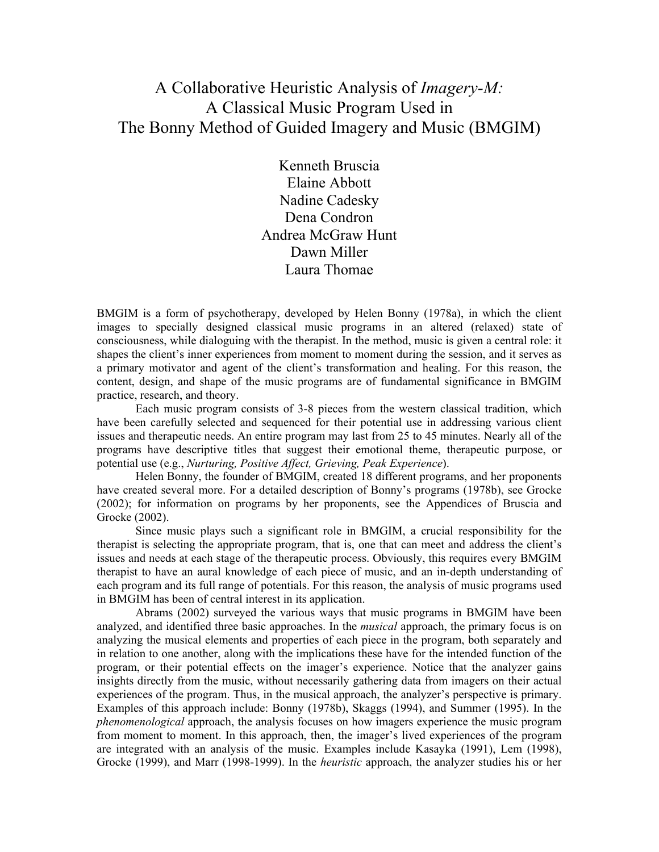# A Collaborative Heuristic Analysis of Imagery-M: A Classical Music Program Used in The Bonny Method of Guided Imagery and Music (BMGIM)

Kenneth Bruscia Elaine Abbott Nadine Cadesky Dena Condron Andrea McGraw Hunt Dawn Miller Laura Thomae

BMGIM is a form of psychotherapy, developed by Helen Bonny (1978a), in which the client images to specially designed classical music programs in an altered (relaxed) state of consciousness, while dialoguing with the therapist. In the method, music is given a central role: it shapes the client's inner experiences from moment to moment during the session, and it serves as a primary motivator and agent of the client's transformation and healing. For this reason, the content, design, and shape of the music programs are of fundamental significance in BMGIM practice, research, and theory.

Each music program consists of 3-8 pieces from the western classical tradition, which have been carefully selected and sequenced for their potential use in addressing various client issues and therapeutic needs. An entire program may last from 25 to 45 minutes. Nearly all of the programs have descriptive titles that suggest their emotional theme, therapeutic purpose, or potential use (e.g., Nurturing, Positive Affect, Grieving, Peak Experience).

Helen Bonny, the founder of BMGIM, created 18 different programs, and her proponents have created several more. For a detailed description of Bonny's programs (1978b), see Grocke (2002); for information on programs by her proponents, see the Appendices of Bruscia and Grocke (2002).

Since music plays such a significant role in BMGIM, a crucial responsibility for the therapist is selecting the appropriate program, that is, one that can meet and address the client's issues and needs at each stage of the therapeutic process. Obviously, this requires every BMGIM therapist to have an aural knowledge of each piece of music, and an in-depth understanding of each program and its full range of potentials. For this reason, the analysis of music programs used in BMGIM has been of central interest in its application.

Abrams (2002) surveyed the various ways that music programs in BMGIM have been analyzed, and identified three basic approaches. In the *musical* approach, the primary focus is on analyzing the musical elements and properties of each piece in the program, both separately and in relation to one another, along with the implications these have for the intended function of the program, or their potential effects on the imager's experience. Notice that the analyzer gains insights directly from the music, without necessarily gathering data from imagers on their actual experiences of the program. Thus, in the musical approach, the analyzer's perspective is primary. Examples of this approach include: Bonny (1978b), Skaggs (1994), and Summer (1995). In the phenomenological approach, the analysis focuses on how imagers experience the music program from moment to moment. In this approach, then, the imager's lived experiences of the program are integrated with an analysis of the music. Examples include Kasayka (1991), Lem (1998), Grocke (1999), and Marr (1998-1999). In the *heuristic* approach, the analyzer studies his or her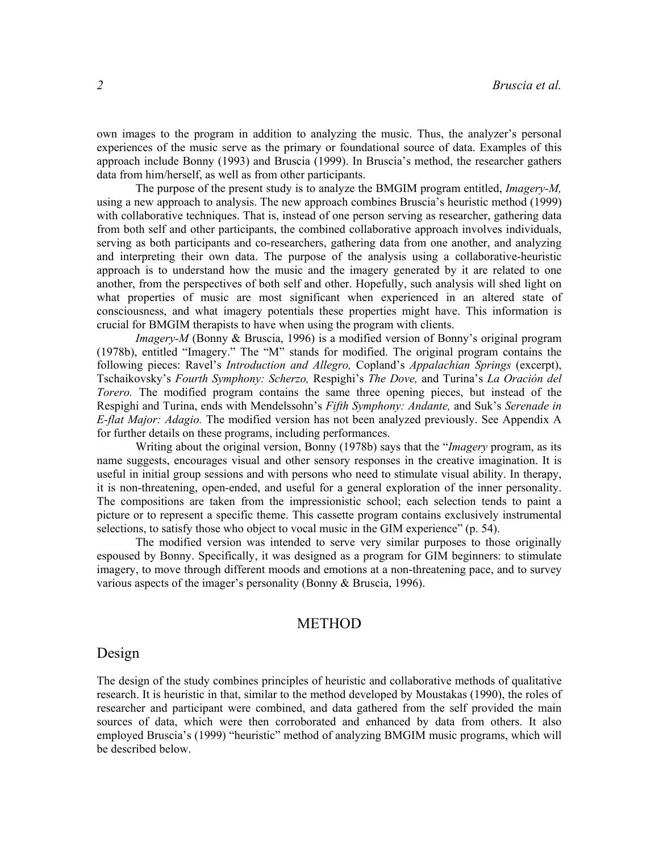own images to the program in addition to analyzing the music. Thus, the analyzer's personal experiences of the music serve as the primary or foundational source of data. Examples of this approach include Bonny (1993) and Bruscia (1999). In Bruscia's method, the researcher gathers data from him/herself, as well as from other participants.

The purpose of the present study is to analyze the BMGIM program entitled, Imagery-M, using a new approach to analysis. The new approach combines Bruscia's heuristic method (1999) with collaborative techniques. That is, instead of one person serving as researcher, gathering data from both self and other participants, the combined collaborative approach involves individuals, serving as both participants and co-researchers, gathering data from one another, and analyzing and interpreting their own data. The purpose of the analysis using a collaborative-heuristic approach is to understand how the music and the imagery generated by it are related to one another, from the perspectives of both self and other. Hopefully, such analysis will shed light on what properties of music are most significant when experienced in an altered state of consciousness, and what imagery potentials these properties might have. This information is crucial for BMGIM therapists to have when using the program with clients.

Imagery-M (Bonny & Bruscia, 1996) is a modified version of Bonny's original program (1978b), entitled "Imagery." The "M" stands for modified. The original program contains the following pieces: Ravel's *Introduction and Allegro*, Copland's *Appalachian Springs* (excerpt), Tschaikovsky's Fourth Symphony: Scherzo, Respighi's The Dove, and Turina's La Oración del Torero. The modified program contains the same three opening pieces, but instead of the Respighi and Turina, ends with Mendelssohn's Fifth Symphony: Andante, and Suk's Serenade in E-flat Major: Adagio. The modified version has not been analyzed previously. See Appendix A for further details on these programs, including performances.

Writing about the original version, Bonny (1978b) says that the "*Imagery* program, as its name suggests, encourages visual and other sensory responses in the creative imagination. It is useful in initial group sessions and with persons who need to stimulate visual ability. In therapy, it is non-threatening, open-ended, and useful for a general exploration of the inner personality. The compositions are taken from the impressionistic school; each selection tends to paint a picture or to represent a specific theme. This cassette program contains exclusively instrumental selections, to satisfy those who object to vocal music in the GIM experience" (p. 54).

The modified version was intended to serve very similar purposes to those originally espoused by Bonny. Specifically, it was designed as a program for GIM beginners: to stimulate imagery, to move through different moods and emotions at a non-threatening pace, and to survey various aspects of the imager's personality (Bonny & Bruscia, 1996).

## METHOD

### Design

The design of the study combines principles of heuristic and collaborative methods of qualitative research. It is heuristic in that, similar to the method developed by Moustakas (1990), the roles of researcher and participant were combined, and data gathered from the self provided the main sources of data, which were then corroborated and enhanced by data from others. It also employed Bruscia's (1999) "heuristic" method of analyzing BMGIM music programs, which will be described below.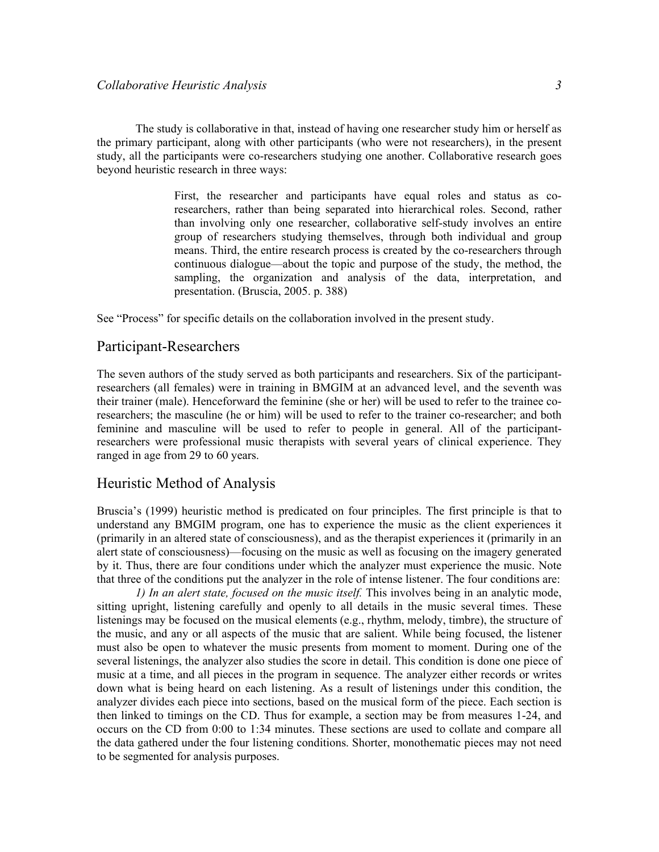The study is collaborative in that, instead of having one researcher study him or herself as the primary participant, along with other participants (who were not researchers), in the present study, all the participants were co-researchers studying one another. Collaborative research goes beyond heuristic research in three ways:

> First, the researcher and participants have equal roles and status as coresearchers, rather than being separated into hierarchical roles. Second, rather than involving only one researcher, collaborative self-study involves an entire group of researchers studying themselves, through both individual and group means. Third, the entire research process is created by the co-researchers through continuous dialogue—about the topic and purpose of the study, the method, the sampling, the organization and analysis of the data, interpretation, and presentation. (Bruscia, 2005. p. 388)

See "Process" for specific details on the collaboration involved in the present study.

### Participant-Researchers

The seven authors of the study served as both participants and researchers. Six of the participantresearchers (all females) were in training in BMGIM at an advanced level, and the seventh was their trainer (male). Henceforward the feminine (she or her) will be used to refer to the trainee coresearchers; the masculine (he or him) will be used to refer to the trainer co-researcher; and both feminine and masculine will be used to refer to people in general. All of the participantresearchers were professional music therapists with several years of clinical experience. They ranged in age from 29 to 60 years.

### Heuristic Method of Analysis

Bruscia's (1999) heuristic method is predicated on four principles. The first principle is that to understand any BMGIM program, one has to experience the music as the client experiences it (primarily in an altered state of consciousness), and as the therapist experiences it (primarily in an alert state of consciousness)—focusing on the music as well as focusing on the imagery generated by it. Thus, there are four conditions under which the analyzer must experience the music. Note that three of the conditions put the analyzer in the role of intense listener. The four conditions are:

 1) In an alert state, focused on the music itself. This involves being in an analytic mode, sitting upright, listening carefully and openly to all details in the music several times. These listenings may be focused on the musical elements (e.g., rhythm, melody, timbre), the structure of the music, and any or all aspects of the music that are salient. While being focused, the listener must also be open to whatever the music presents from moment to moment. During one of the several listenings, the analyzer also studies the score in detail. This condition is done one piece of music at a time, and all pieces in the program in sequence. The analyzer either records or writes down what is being heard on each listening. As a result of listenings under this condition, the analyzer divides each piece into sections, based on the musical form of the piece. Each section is then linked to timings on the CD. Thus for example, a section may be from measures 1-24, and occurs on the CD from 0:00 to 1:34 minutes. These sections are used to collate and compare all the data gathered under the four listening conditions. Shorter, monothematic pieces may not need to be segmented for analysis purposes.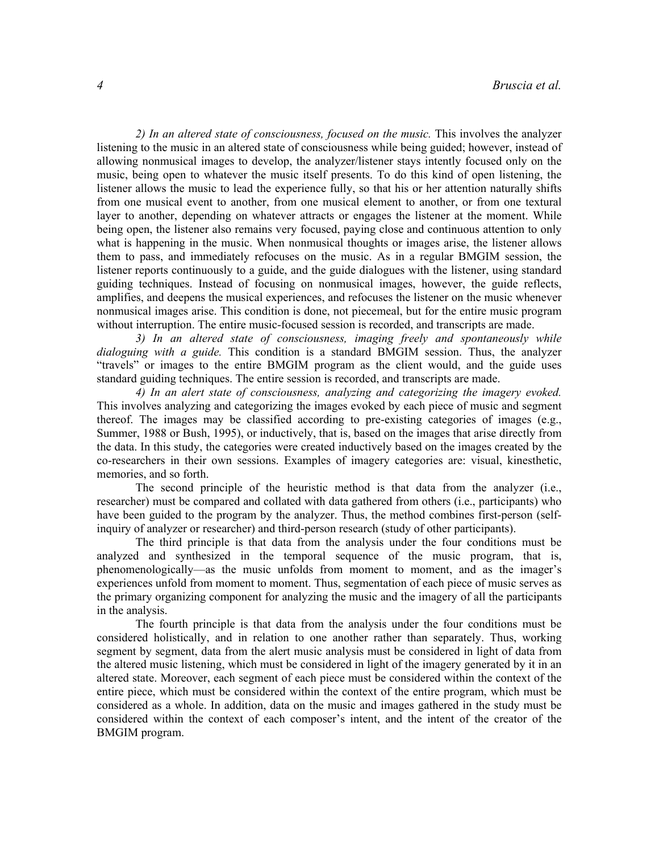2) In an altered state of consciousness, focused on the music. This involves the analyzer listening to the music in an altered state of consciousness while being guided; however, instead of allowing nonmusical images to develop, the analyzer/listener stays intently focused only on the music, being open to whatever the music itself presents. To do this kind of open listening, the listener allows the music to lead the experience fully, so that his or her attention naturally shifts from one musical event to another, from one musical element to another, or from one textural layer to another, depending on whatever attracts or engages the listener at the moment. While being open, the listener also remains very focused, paying close and continuous attention to only what is happening in the music. When nonmusical thoughts or images arise, the listener allows them to pass, and immediately refocuses on the music. As in a regular BMGIM session, the listener reports continuously to a guide, and the guide dialogues with the listener, using standard guiding techniques. Instead of focusing on nonmusical images, however, the guide reflects, amplifies, and deepens the musical experiences, and refocuses the listener on the music whenever nonmusical images arise. This condition is done, not piecemeal, but for the entire music program without interruption. The entire music-focused session is recorded, and transcripts are made.

3) In an altered state of consciousness, imaging freely and spontaneously while dialoguing with a guide. This condition is a standard BMGIM session. Thus, the analyzer "travels" or images to the entire BMGIM program as the client would, and the guide uses standard guiding techniques. The entire session is recorded, and transcripts are made.

4) In an alert state of consciousness, analyzing and categorizing the imagery evoked. This involves analyzing and categorizing the images evoked by each piece of music and segment thereof. The images may be classified according to pre-existing categories of images (e.g., Summer, 1988 or Bush, 1995), or inductively, that is, based on the images that arise directly from the data. In this study, the categories were created inductively based on the images created by the co-researchers in their own sessions. Examples of imagery categories are: visual, kinesthetic, memories, and so forth.

The second principle of the heuristic method is that data from the analyzer (i.e., researcher) must be compared and collated with data gathered from others (i.e., participants) who have been guided to the program by the analyzer. Thus, the method combines first-person (selfinquiry of analyzer or researcher) and third-person research (study of other participants).

The third principle is that data from the analysis under the four conditions must be analyzed and synthesized in the temporal sequence of the music program, that is, phenomenologically—as the music unfolds from moment to moment, and as the imager's experiences unfold from moment to moment. Thus, segmentation of each piece of music serves as the primary organizing component for analyzing the music and the imagery of all the participants in the analysis.

The fourth principle is that data from the analysis under the four conditions must be considered holistically, and in relation to one another rather than separately. Thus, working segment by segment, data from the alert music analysis must be considered in light of data from the altered music listening, which must be considered in light of the imagery generated by it in an altered state. Moreover, each segment of each piece must be considered within the context of the entire piece, which must be considered within the context of the entire program, which must be considered as a whole. In addition, data on the music and images gathered in the study must be considered within the context of each composer's intent, and the intent of the creator of the BMGIM program.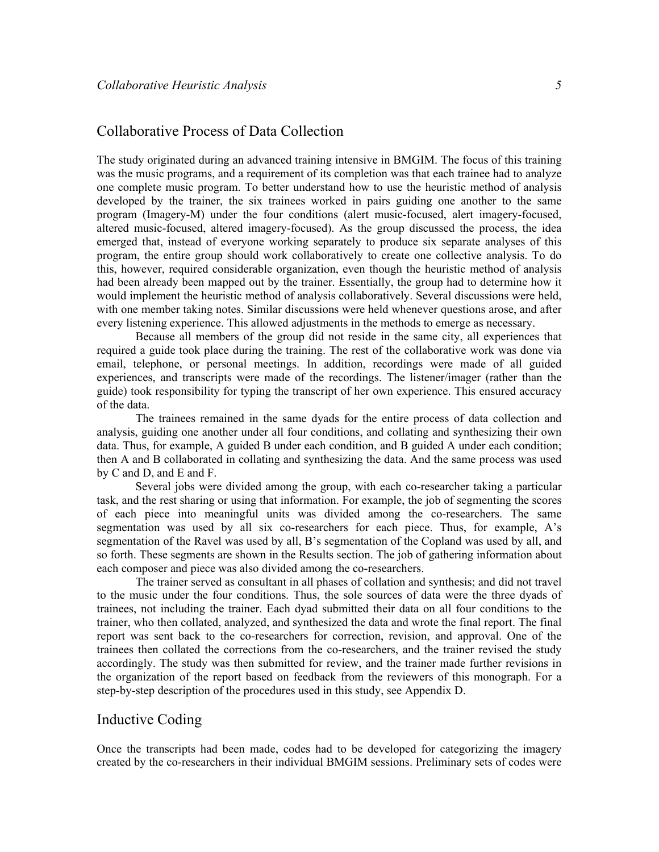## Collaborative Process of Data Collection

The study originated during an advanced training intensive in BMGIM. The focus of this training was the music programs, and a requirement of its completion was that each trainee had to analyze one complete music program. To better understand how to use the heuristic method of analysis developed by the trainer, the six trainees worked in pairs guiding one another to the same program (Imagery-M) under the four conditions (alert music-focused, alert imagery-focused, altered music-focused, altered imagery-focused). As the group discussed the process, the idea emerged that, instead of everyone working separately to produce six separate analyses of this program, the entire group should work collaboratively to create one collective analysis. To do this, however, required considerable organization, even though the heuristic method of analysis had been already been mapped out by the trainer. Essentially, the group had to determine how it would implement the heuristic method of analysis collaboratively. Several discussions were held, with one member taking notes. Similar discussions were held whenever questions arose, and after every listening experience. This allowed adjustments in the methods to emerge as necessary.

Because all members of the group did not reside in the same city, all experiences that required a guide took place during the training. The rest of the collaborative work was done via email, telephone, or personal meetings. In addition, recordings were made of all guided experiences, and transcripts were made of the recordings. The listener/imager (rather than the guide) took responsibility for typing the transcript of her own experience. This ensured accuracy of the data.

The trainees remained in the same dyads for the entire process of data collection and analysis, guiding one another under all four conditions, and collating and synthesizing their own data. Thus, for example, A guided B under each condition, and B guided A under each condition; then A and B collaborated in collating and synthesizing the data. And the same process was used by C and D, and E and F.

Several jobs were divided among the group, with each co-researcher taking a particular task, and the rest sharing or using that information. For example, the job of segmenting the scores of each piece into meaningful units was divided among the co-researchers. The same segmentation was used by all six co-researchers for each piece. Thus, for example, A's segmentation of the Ravel was used by all, B's segmentation of the Copland was used by all, and so forth. These segments are shown in the Results section. The job of gathering information about each composer and piece was also divided among the co-researchers.

The trainer served as consultant in all phases of collation and synthesis; and did not travel to the music under the four conditions. Thus, the sole sources of data were the three dyads of trainees, not including the trainer. Each dyad submitted their data on all four conditions to the trainer, who then collated, analyzed, and synthesized the data and wrote the final report. The final report was sent back to the co-researchers for correction, revision, and approval. One of the trainees then collated the corrections from the co-researchers, and the trainer revised the study accordingly. The study was then submitted for review, and the trainer made further revisions in the organization of the report based on feedback from the reviewers of this monograph. For a step-by-step description of the procedures used in this study, see Appendix D.

## Inductive Coding

Once the transcripts had been made, codes had to be developed for categorizing the imagery created by the co-researchers in their individual BMGIM sessions. Preliminary sets of codes were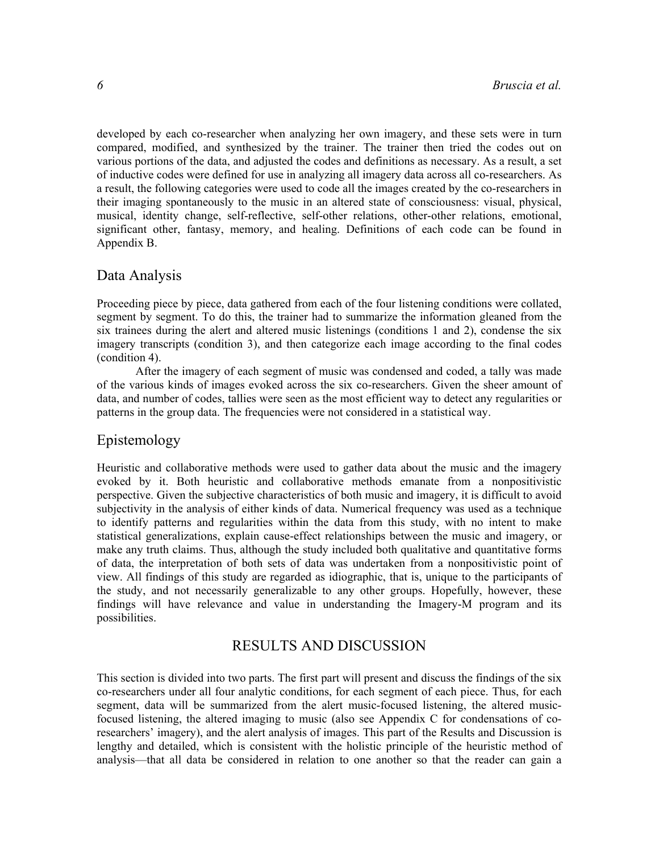developed by each co-researcher when analyzing her own imagery, and these sets were in turn compared, modified, and synthesized by the trainer. The trainer then tried the codes out on various portions of the data, and adjusted the codes and definitions as necessary. As a result, a set of inductive codes were defined for use in analyzing all imagery data across all co-researchers. As a result, the following categories were used to code all the images created by the co-researchers in their imaging spontaneously to the music in an altered state of consciousness: visual, physical, musical, identity change, self-reflective, self-other relations, other-other relations, emotional, significant other, fantasy, memory, and healing. Definitions of each code can be found in Appendix B.

#### Data Analysis

Proceeding piece by piece, data gathered from each of the four listening conditions were collated, segment by segment. To do this, the trainer had to summarize the information gleaned from the six trainees during the alert and altered music listenings (conditions 1 and 2), condense the six imagery transcripts (condition 3), and then categorize each image according to the final codes (condition 4).

After the imagery of each segment of music was condensed and coded, a tally was made of the various kinds of images evoked across the six co-researchers. Given the sheer amount of data, and number of codes, tallies were seen as the most efficient way to detect any regularities or patterns in the group data. The frequencies were not considered in a statistical way.

## Epistemology

Heuristic and collaborative methods were used to gather data about the music and the imagery evoked by it. Both heuristic and collaborative methods emanate from a nonpositivistic perspective. Given the subjective characteristics of both music and imagery, it is difficult to avoid subjectivity in the analysis of either kinds of data. Numerical frequency was used as a technique to identify patterns and regularities within the data from this study, with no intent to make statistical generalizations, explain cause-effect relationships between the music and imagery, or make any truth claims. Thus, although the study included both qualitative and quantitative forms of data, the interpretation of both sets of data was undertaken from a nonpositivistic point of view. All findings of this study are regarded as idiographic, that is, unique to the participants of the study, and not necessarily generalizable to any other groups. Hopefully, however, these findings will have relevance and value in understanding the Imagery-M program and its possibilities.

## RESULTS AND DISCUSSION

This section is divided into two parts. The first part will present and discuss the findings of the six co-researchers under all four analytic conditions, for each segment of each piece. Thus, for each segment, data will be summarized from the alert music-focused listening, the altered musicfocused listening, the altered imaging to music (also see Appendix C for condensations of coresearchers' imagery), and the alert analysis of images. This part of the Results and Discussion is lengthy and detailed, which is consistent with the holistic principle of the heuristic method of analysis—that all data be considered in relation to one another so that the reader can gain a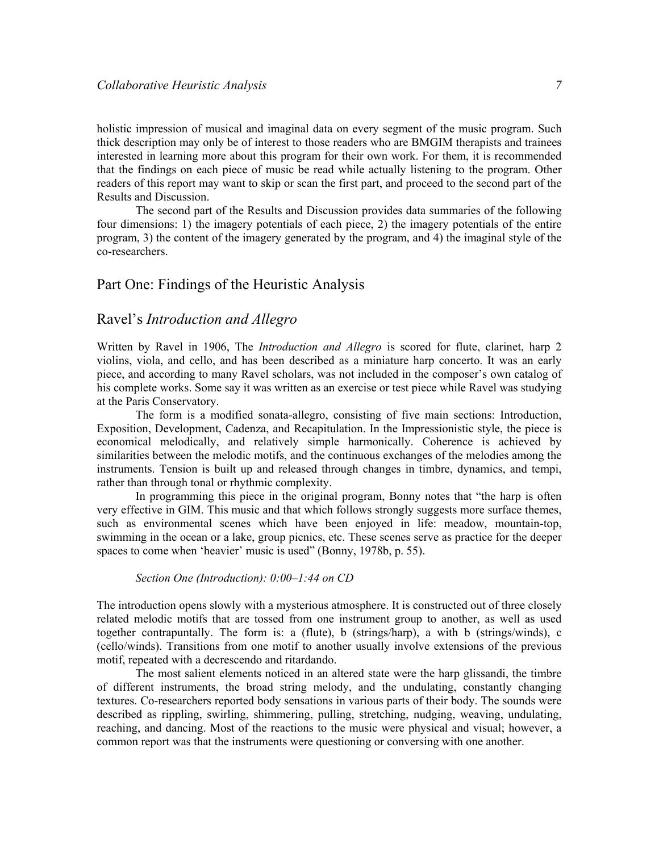holistic impression of musical and imaginal data on every segment of the music program. Such thick description may only be of interest to those readers who are BMGIM therapists and trainees interested in learning more about this program for their own work. For them, it is recommended that the findings on each piece of music be read while actually listening to the program. Other readers of this report may want to skip or scan the first part, and proceed to the second part of the Results and Discussion.

The second part of the Results and Discussion provides data summaries of the following four dimensions: 1) the imagery potentials of each piece, 2) the imagery potentials of the entire program, 3) the content of the imagery generated by the program, and 4) the imaginal style of the co-researchers.

## Part One: Findings of the Heuristic Analysis

## Ravel's Introduction and Allegro

Written by Ravel in 1906, The *Introduction and Allegro* is scored for flute, clarinet, harp 2 violins, viola, and cello, and has been described as a miniature harp concerto. It was an early piece, and according to many Ravel scholars, was not included in the composer's own catalog of his complete works. Some say it was written as an exercise or test piece while Ravel was studying at the Paris Conservatory.

The form is a modified sonata-allegro, consisting of five main sections: Introduction, Exposition, Development, Cadenza, and Recapitulation. In the Impressionistic style, the piece is economical melodically, and relatively simple harmonically. Coherence is achieved by similarities between the melodic motifs, and the continuous exchanges of the melodies among the instruments. Tension is built up and released through changes in timbre, dynamics, and tempi, rather than through tonal or rhythmic complexity.

In programming this piece in the original program, Bonny notes that "the harp is often very effective in GIM. This music and that which follows strongly suggests more surface themes, such as environmental scenes which have been enjoyed in life: meadow, mountain-top, swimming in the ocean or a lake, group picnics, etc. These scenes serve as practice for the deeper spaces to come when 'heavier' music is used" (Bonny, 1978b, p. 55).

#### Section One (Introduction): 0:00–1:44 on CD

The introduction opens slowly with a mysterious atmosphere. It is constructed out of three closely related melodic motifs that are tossed from one instrument group to another, as well as used together contrapuntally. The form is: a (flute), b (strings/harp), a with b (strings/winds), c (cello/winds). Transitions from one motif to another usually involve extensions of the previous motif, repeated with a decrescendo and ritardando.

The most salient elements noticed in an altered state were the harp glissandi, the timbre of different instruments, the broad string melody, and the undulating, constantly changing textures. Co-researchers reported body sensations in various parts of their body. The sounds were described as rippling, swirling, shimmering, pulling, stretching, nudging, weaving, undulating, reaching, and dancing. Most of the reactions to the music were physical and visual; however, a common report was that the instruments were questioning or conversing with one another.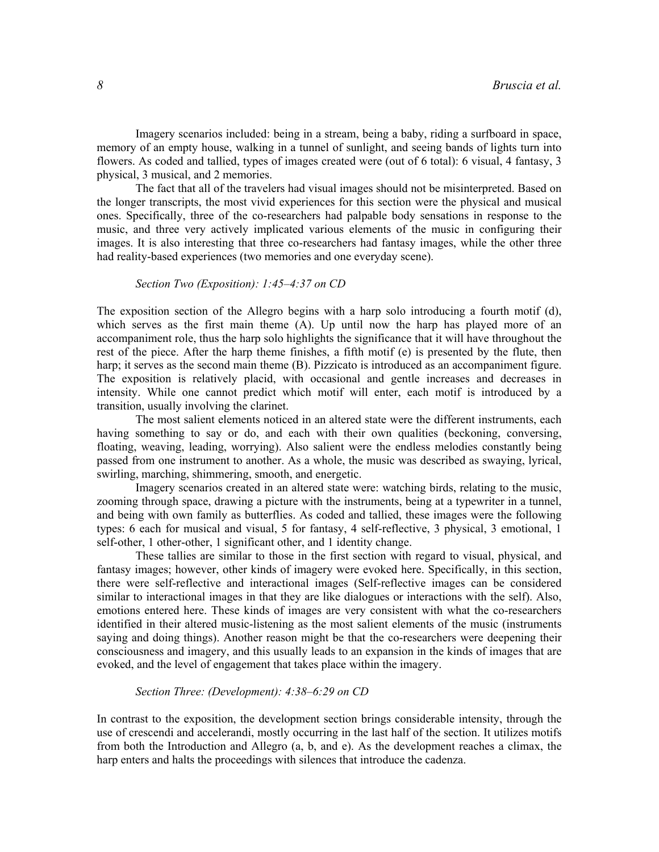Imagery scenarios included: being in a stream, being a baby, riding a surfboard in space, memory of an empty house, walking in a tunnel of sunlight, and seeing bands of lights turn into flowers. As coded and tallied, types of images created were (out of 6 total): 6 visual, 4 fantasy, 3 physical, 3 musical, and 2 memories.

The fact that all of the travelers had visual images should not be misinterpreted. Based on the longer transcripts, the most vivid experiences for this section were the physical and musical ones. Specifically, three of the co-researchers had palpable body sensations in response to the music, and three very actively implicated various elements of the music in configuring their images. It is also interesting that three co-researchers had fantasy images, while the other three had reality-based experiences (two memories and one everyday scene).

#### Section Two (Exposition): 1:45–4:37 on CD

The exposition section of the Allegro begins with a harp solo introducing a fourth motif (d), which serves as the first main theme (A). Up until now the harp has played more of an accompaniment role, thus the harp solo highlights the significance that it will have throughout the rest of the piece. After the harp theme finishes, a fifth motif (e) is presented by the flute, then harp; it serves as the second main theme (B). Pizzicato is introduced as an accompaniment figure. The exposition is relatively placid, with occasional and gentle increases and decreases in intensity. While one cannot predict which motif will enter, each motif is introduced by a transition, usually involving the clarinet.

The most salient elements noticed in an altered state were the different instruments, each having something to say or do, and each with their own qualities (beckoning, conversing, floating, weaving, leading, worrying). Also salient were the endless melodies constantly being passed from one instrument to another. As a whole, the music was described as swaying, lyrical, swirling, marching, shimmering, smooth, and energetic.

Imagery scenarios created in an altered state were: watching birds, relating to the music, zooming through space, drawing a picture with the instruments, being at a typewriter in a tunnel, and being with own family as butterflies. As coded and tallied, these images were the following types: 6 each for musical and visual, 5 for fantasy, 4 self-reflective, 3 physical, 3 emotional, 1 self-other, 1 other-other, 1 significant other, and 1 identity change.

These tallies are similar to those in the first section with regard to visual, physical, and fantasy images; however, other kinds of imagery were evoked here. Specifically, in this section, there were self-reflective and interactional images (Self-reflective images can be considered similar to interactional images in that they are like dialogues or interactions with the self). Also, emotions entered here. These kinds of images are very consistent with what the co-researchers identified in their altered music-listening as the most salient elements of the music (instruments saying and doing things). Another reason might be that the co-researchers were deepening their consciousness and imagery, and this usually leads to an expansion in the kinds of images that are evoked, and the level of engagement that takes place within the imagery.

#### Section Three: (Development): 4:38-6:29 on CD

In contrast to the exposition, the development section brings considerable intensity, through the use of crescendi and accelerandi, mostly occurring in the last half of the section. It utilizes motifs from both the Introduction and Allegro (a, b, and e). As the development reaches a climax, the harp enters and halts the proceedings with silences that introduce the cadenza.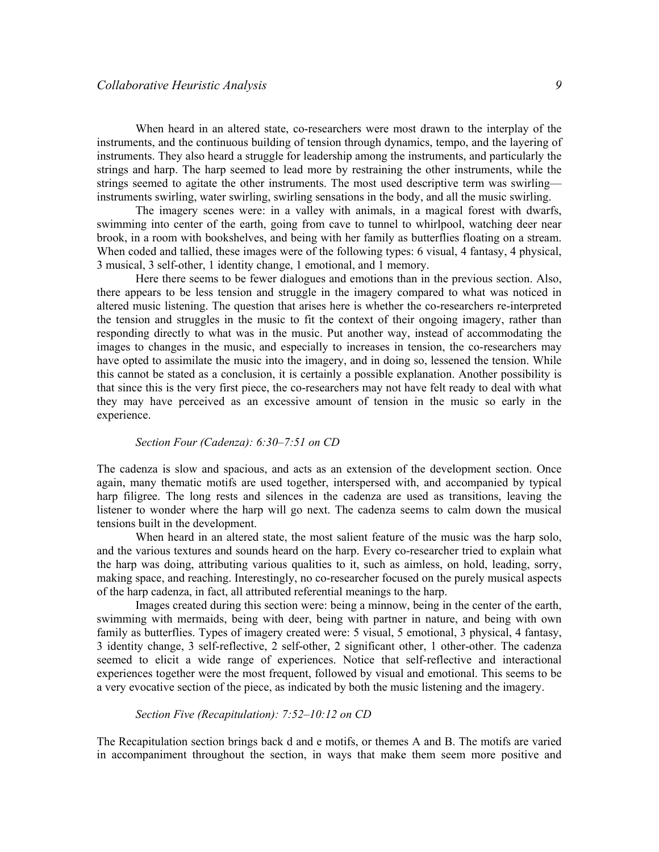When heard in an altered state, co-researchers were most drawn to the interplay of the instruments, and the continuous building of tension through dynamics, tempo, and the layering of instruments. They also heard a struggle for leadership among the instruments, and particularly the strings and harp. The harp seemed to lead more by restraining the other instruments, while the strings seemed to agitate the other instruments. The most used descriptive term was swirling instruments swirling, water swirling, swirling sensations in the body, and all the music swirling.

The imagery scenes were: in a valley with animals, in a magical forest with dwarfs, swimming into center of the earth, going from cave to tunnel to whirlpool, watching deer near brook, in a room with bookshelves, and being with her family as butterflies floating on a stream. When coded and tallied, these images were of the following types: 6 visual, 4 fantasy, 4 physical, 3 musical, 3 self-other, 1 identity change, 1 emotional, and 1 memory.

Here there seems to be fewer dialogues and emotions than in the previous section. Also, there appears to be less tension and struggle in the imagery compared to what was noticed in altered music listening. The question that arises here is whether the co-researchers re-interpreted the tension and struggles in the music to fit the context of their ongoing imagery, rather than responding directly to what was in the music. Put another way, instead of accommodating the images to changes in the music, and especially to increases in tension, the co-researchers may have opted to assimilate the music into the imagery, and in doing so, lessened the tension. While this cannot be stated as a conclusion, it is certainly a possible explanation. Another possibility is that since this is the very first piece, the co-researchers may not have felt ready to deal with what they may have perceived as an excessive amount of tension in the music so early in the experience.

#### Section Four (Cadenza): 6:30–7:51 on CD

The cadenza is slow and spacious, and acts as an extension of the development section. Once again, many thematic motifs are used together, interspersed with, and accompanied by typical harp filigree. The long rests and silences in the cadenza are used as transitions, leaving the listener to wonder where the harp will go next. The cadenza seems to calm down the musical tensions built in the development.

When heard in an altered state, the most salient feature of the music was the harp solo, and the various textures and sounds heard on the harp. Every co-researcher tried to explain what the harp was doing, attributing various qualities to it, such as aimless, on hold, leading, sorry, making space, and reaching. Interestingly, no co-researcher focused on the purely musical aspects of the harp cadenza, in fact, all attributed referential meanings to the harp.

Images created during this section were: being a minnow, being in the center of the earth, swimming with mermaids, being with deer, being with partner in nature, and being with own family as butterflies. Types of imagery created were: 5 visual, 5 emotional, 3 physical, 4 fantasy, 3 identity change, 3 self-reflective, 2 self-other, 2 significant other, 1 other-other. The cadenza seemed to elicit a wide range of experiences. Notice that self-reflective and interactional experiences together were the most frequent, followed by visual and emotional. This seems to be a very evocative section of the piece, as indicated by both the music listening and the imagery.

#### Section Five (Recapitulation): 7:52–10:12 on CD

The Recapitulation section brings back d and e motifs, or themes A and B. The motifs are varied in accompaniment throughout the section, in ways that make them seem more positive and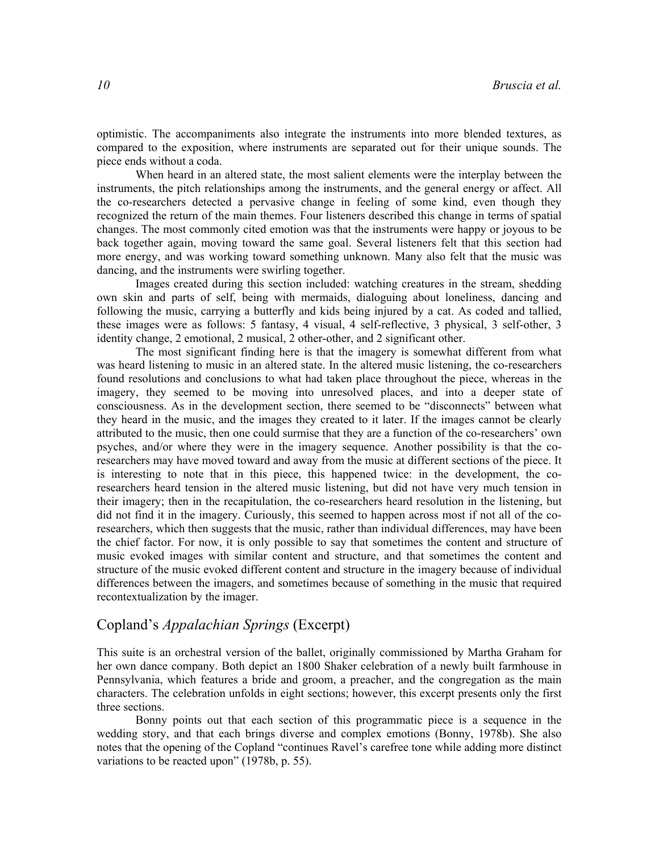optimistic. The accompaniments also integrate the instruments into more blended textures, as compared to the exposition, where instruments are separated out for their unique sounds. The piece ends without a coda.

When heard in an altered state, the most salient elements were the interplay between the instruments, the pitch relationships among the instruments, and the general energy or affect. All the co-researchers detected a pervasive change in feeling of some kind, even though they recognized the return of the main themes. Four listeners described this change in terms of spatial changes. The most commonly cited emotion was that the instruments were happy or joyous to be back together again, moving toward the same goal. Several listeners felt that this section had more energy, and was working toward something unknown. Many also felt that the music was dancing, and the instruments were swirling together.

Images created during this section included: watching creatures in the stream, shedding own skin and parts of self, being with mermaids, dialoguing about loneliness, dancing and following the music, carrying a butterfly and kids being injured by a cat. As coded and tallied, these images were as follows: 5 fantasy, 4 visual, 4 self-reflective, 3 physical, 3 self-other, 3 identity change, 2 emotional, 2 musical, 2 other-other, and 2 significant other.

The most significant finding here is that the imagery is somewhat different from what was heard listening to music in an altered state. In the altered music listening, the co-researchers found resolutions and conclusions to what had taken place throughout the piece, whereas in the imagery, they seemed to be moving into unresolved places, and into a deeper state of consciousness. As in the development section, there seemed to be "disconnects" between what they heard in the music, and the images they created to it later. If the images cannot be clearly attributed to the music, then one could surmise that they are a function of the co-researchers' own psyches, and/or where they were in the imagery sequence. Another possibility is that the coresearchers may have moved toward and away from the music at different sections of the piece. It is interesting to note that in this piece, this happened twice: in the development, the coresearchers heard tension in the altered music listening, but did not have very much tension in their imagery; then in the recapitulation, the co-researchers heard resolution in the listening, but did not find it in the imagery. Curiously, this seemed to happen across most if not all of the coresearchers, which then suggests that the music, rather than individual differences, may have been the chief factor. For now, it is only possible to say that sometimes the content and structure of music evoked images with similar content and structure, and that sometimes the content and structure of the music evoked different content and structure in the imagery because of individual differences between the imagers, and sometimes because of something in the music that required recontextualization by the imager.

## Copland's Appalachian Springs (Excerpt)

This suite is an orchestral version of the ballet, originally commissioned by Martha Graham for her own dance company. Both depict an 1800 Shaker celebration of a newly built farmhouse in Pennsylvania, which features a bride and groom, a preacher, and the congregation as the main characters. The celebration unfolds in eight sections; however, this excerpt presents only the first three sections.

 Bonny points out that each section of this programmatic piece is a sequence in the wedding story, and that each brings diverse and complex emotions (Bonny, 1978b). She also notes that the opening of the Copland "continues Ravel's carefree tone while adding more distinct variations to be reacted upon" (1978b, p. 55).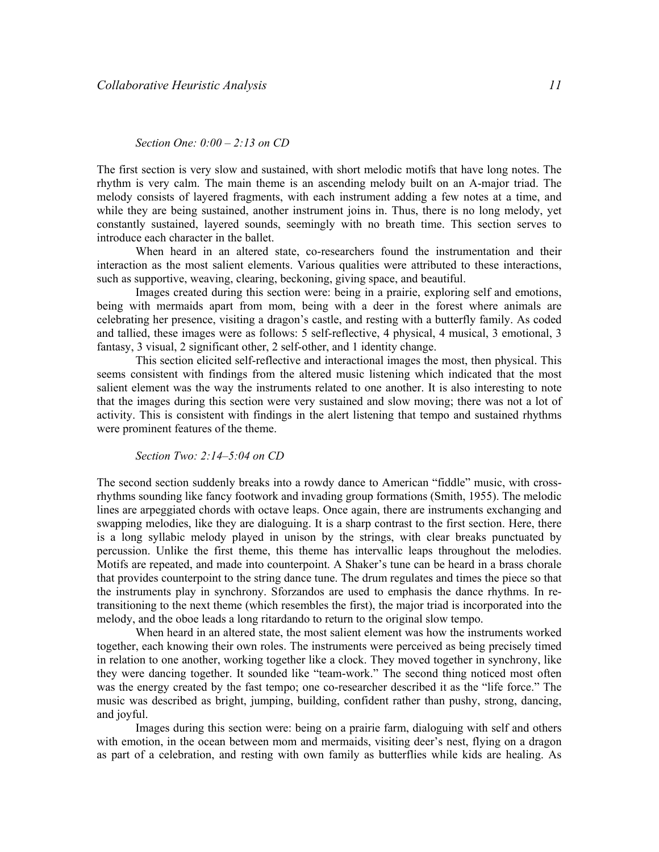#### Section One: 0:00 – 2:13 on CD

The first section is very slow and sustained, with short melodic motifs that have long notes. The rhythm is very calm. The main theme is an ascending melody built on an A-major triad. The melody consists of layered fragments, with each instrument adding a few notes at a time, and while they are being sustained, another instrument joins in. Thus, there is no long melody, yet constantly sustained, layered sounds, seemingly with no breath time. This section serves to introduce each character in the ballet.

When heard in an altered state, co-researchers found the instrumentation and their interaction as the most salient elements. Various qualities were attributed to these interactions, such as supportive, weaving, clearing, beckoning, giving space, and beautiful.

Images created during this section were: being in a prairie, exploring self and emotions, being with mermaids apart from mom, being with a deer in the forest where animals are celebrating her presence, visiting a dragon's castle, and resting with a butterfly family. As coded and tallied, these images were as follows: 5 self-reflective, 4 physical, 4 musical, 3 emotional, 3 fantasy, 3 visual, 2 significant other, 2 self-other, and 1 identity change.

This section elicited self-reflective and interactional images the most, then physical. This seems consistent with findings from the altered music listening which indicated that the most salient element was the way the instruments related to one another. It is also interesting to note that the images during this section were very sustained and slow moving; there was not a lot of activity. This is consistent with findings in the alert listening that tempo and sustained rhythms were prominent features of the theme.

Section Two: 2:14–5:04 on CD

The second section suddenly breaks into a rowdy dance to American "fiddle" music, with crossrhythms sounding like fancy footwork and invading group formations (Smith, 1955). The melodic lines are arpeggiated chords with octave leaps. Once again, there are instruments exchanging and swapping melodies, like they are dialoguing. It is a sharp contrast to the first section. Here, there is a long syllabic melody played in unison by the strings, with clear breaks punctuated by percussion. Unlike the first theme, this theme has intervallic leaps throughout the melodies. Motifs are repeated, and made into counterpoint. A Shaker's tune can be heard in a brass chorale that provides counterpoint to the string dance tune. The drum regulates and times the piece so that the instruments play in synchrony. Sforzandos are used to emphasis the dance rhythms. In retransitioning to the next theme (which resembles the first), the major triad is incorporated into the melody, and the oboe leads a long ritardando to return to the original slow tempo.

 When heard in an altered state, the most salient element was how the instruments worked together, each knowing their own roles. The instruments were perceived as being precisely timed in relation to one another, working together like a clock. They moved together in synchrony, like they were dancing together. It sounded like "team-work." The second thing noticed most often was the energy created by the fast tempo; one co-researcher described it as the "life force." The music was described as bright, jumping, building, confident rather than pushy, strong, dancing, and joyful.

 Images during this section were: being on a prairie farm, dialoguing with self and others with emotion, in the ocean between mom and mermaids, visiting deer's nest, flying on a dragon as part of a celebration, and resting with own family as butterflies while kids are healing. As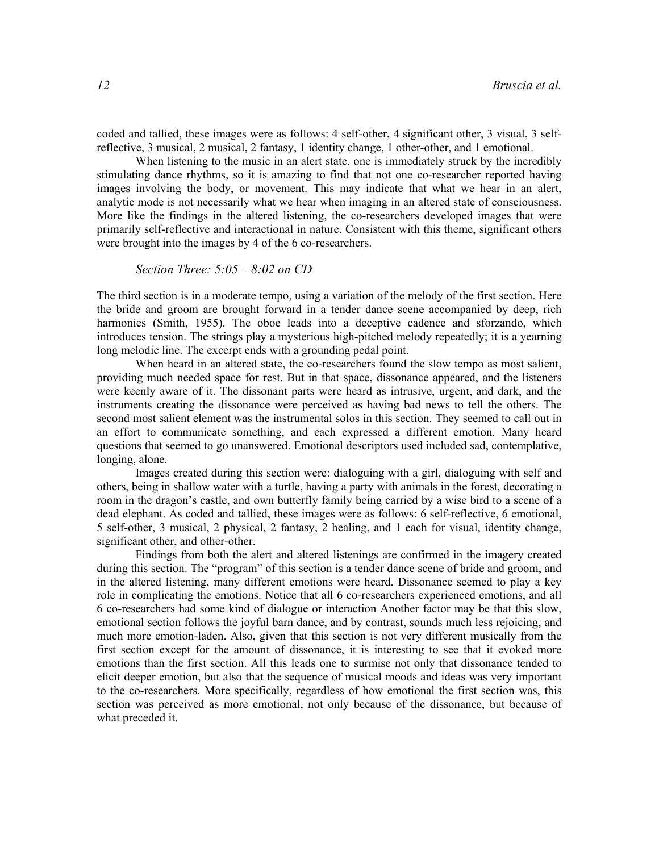coded and tallied, these images were as follows: 4 self-other, 4 significant other, 3 visual, 3 selfreflective, 3 musical, 2 musical, 2 fantasy, 1 identity change, 1 other-other, and 1 emotional.

When listening to the music in an alert state, one is immediately struck by the incredibly stimulating dance rhythms, so it is amazing to find that not one co-researcher reported having images involving the body, or movement. This may indicate that what we hear in an alert, analytic mode is not necessarily what we hear when imaging in an altered state of consciousness. More like the findings in the altered listening, the co-researchers developed images that were primarily self-reflective and interactional in nature. Consistent with this theme, significant others were brought into the images by 4 of the 6 co-researchers.

Section Three: 
$$
5:05 - 8:02
$$
 on CD

The third section is in a moderate tempo, using a variation of the melody of the first section. Here the bride and groom are brought forward in a tender dance scene accompanied by deep, rich harmonies (Smith, 1955). The oboe leads into a deceptive cadence and sforzando, which introduces tension. The strings play a mysterious high-pitched melody repeatedly; it is a yearning long melodic line. The excerpt ends with a grounding pedal point.

 When heard in an altered state, the co-researchers found the slow tempo as most salient, providing much needed space for rest. But in that space, dissonance appeared, and the listeners were keenly aware of it. The dissonant parts were heard as intrusive, urgent, and dark, and the instruments creating the dissonance were perceived as having bad news to tell the others. The second most salient element was the instrumental solos in this section. They seemed to call out in an effort to communicate something, and each expressed a different emotion. Many heard questions that seemed to go unanswered. Emotional descriptors used included sad, contemplative, longing, alone.

 Images created during this section were: dialoguing with a girl, dialoguing with self and others, being in shallow water with a turtle, having a party with animals in the forest, decorating a room in the dragon's castle, and own butterfly family being carried by a wise bird to a scene of a dead elephant. As coded and tallied, these images were as follows: 6 self-reflective, 6 emotional, 5 self-other, 3 musical, 2 physical, 2 fantasy, 2 healing, and 1 each for visual, identity change, significant other, and other-other.

Findings from both the alert and altered listenings are confirmed in the imagery created during this section. The "program" of this section is a tender dance scene of bride and groom, and in the altered listening, many different emotions were heard. Dissonance seemed to play a key role in complicating the emotions. Notice that all 6 co-researchers experienced emotions, and all 6 co-researchers had some kind of dialogue or interaction Another factor may be that this slow, emotional section follows the joyful barn dance, and by contrast, sounds much less rejoicing, and much more emotion-laden. Also, given that this section is not very different musically from the first section except for the amount of dissonance, it is interesting to see that it evoked more emotions than the first section. All this leads one to surmise not only that dissonance tended to elicit deeper emotion, but also that the sequence of musical moods and ideas was very important to the co-researchers. More specifically, regardless of how emotional the first section was, this section was perceived as more emotional, not only because of the dissonance, but because of what preceded it.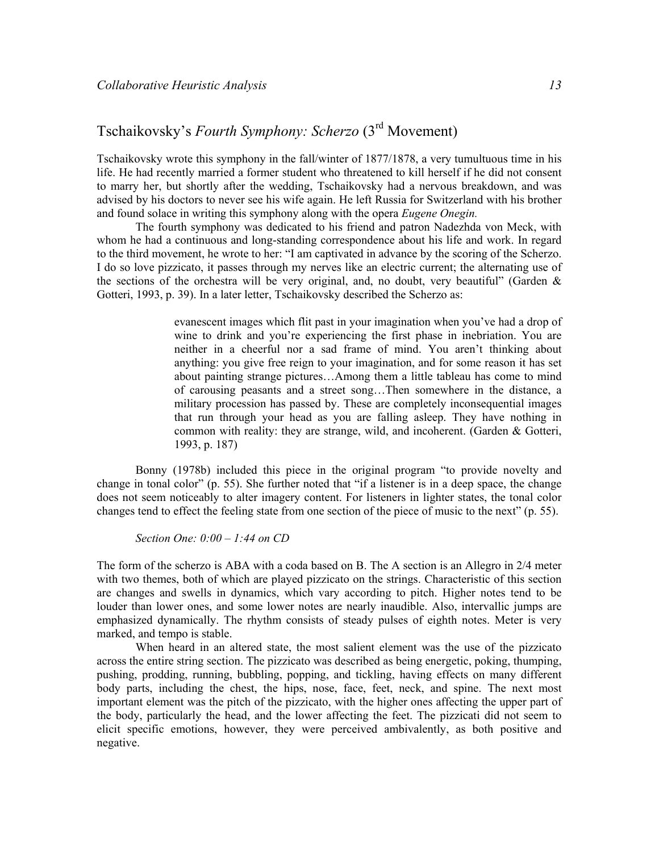# Tschaikovsky's Fourth Symphony: Scherzo (3rd Movement)

Tschaikovsky wrote this symphony in the fall/winter of 1877/1878, a very tumultuous time in his life. He had recently married a former student who threatened to kill herself if he did not consent to marry her, but shortly after the wedding, Tschaikovsky had a nervous breakdown, and was advised by his doctors to never see his wife again. He left Russia for Switzerland with his brother and found solace in writing this symphony along with the opera *Eugene Onegin*.

 The fourth symphony was dedicated to his friend and patron Nadezhda von Meck, with whom he had a continuous and long-standing correspondence about his life and work. In regard to the third movement, he wrote to her: "I am captivated in advance by the scoring of the Scherzo. I do so love pizzicato, it passes through my nerves like an electric current; the alternating use of the sections of the orchestra will be very original, and, no doubt, very beautiful" (Garden  $\&$ Gotteri, 1993, p. 39). In a later letter, Tschaikovsky described the Scherzo as:

> evanescent images which flit past in your imagination when you've had a drop of wine to drink and you're experiencing the first phase in inebriation. You are neither in a cheerful nor a sad frame of mind. You aren't thinking about anything: you give free reign to your imagination, and for some reason it has set about painting strange pictures…Among them a little tableau has come to mind of carousing peasants and a street song…Then somewhere in the distance, a military procession has passed by. These are completely inconsequential images that run through your head as you are falling asleep. They have nothing in common with reality: they are strange, wild, and incoherent. (Garden & Gotteri, 1993, p. 187)

Bonny (1978b) included this piece in the original program "to provide novelty and change in tonal color" (p. 55). She further noted that "if a listener is in a deep space, the change does not seem noticeably to alter imagery content. For listeners in lighter states, the tonal color changes tend to effect the feeling state from one section of the piece of music to the next" (p. 55).

Section One:  $0:00 - 1:44$  on CD

The form of the scherzo is ABA with a coda based on B. The A section is an Allegro in 2/4 meter with two themes, both of which are played pizzicato on the strings. Characteristic of this section are changes and swells in dynamics, which vary according to pitch. Higher notes tend to be louder than lower ones, and some lower notes are nearly inaudible. Also, intervallic jumps are emphasized dynamically. The rhythm consists of steady pulses of eighth notes. Meter is very marked, and tempo is stable.

 When heard in an altered state, the most salient element was the use of the pizzicato across the entire string section. The pizzicato was described as being energetic, poking, thumping, pushing, prodding, running, bubbling, popping, and tickling, having effects on many different body parts, including the chest, the hips, nose, face, feet, neck, and spine. The next most important element was the pitch of the pizzicato, with the higher ones affecting the upper part of the body, particularly the head, and the lower affecting the feet. The pizzicati did not seem to elicit specific emotions, however, they were perceived ambivalently, as both positive and negative.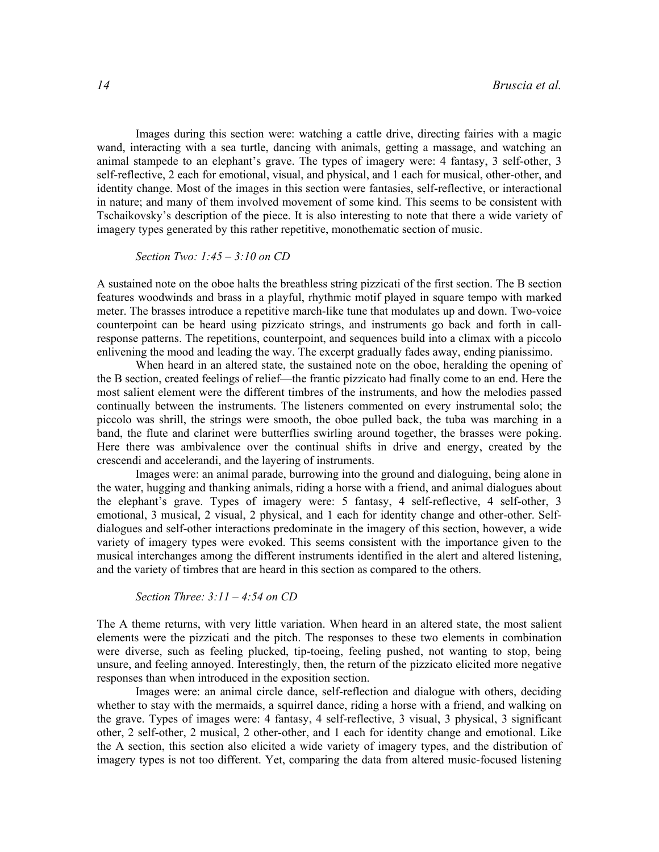Images during this section were: watching a cattle drive, directing fairies with a magic wand, interacting with a sea turtle, dancing with animals, getting a massage, and watching an animal stampede to an elephant's grave. The types of imagery were: 4 fantasy, 3 self-other, 3 self-reflective, 2 each for emotional, visual, and physical, and 1 each for musical, other-other, and identity change. Most of the images in this section were fantasies, self-reflective, or interactional in nature; and many of them involved movement of some kind. This seems to be consistent with Tschaikovsky's description of the piece. It is also interesting to note that there a wide variety of imagery types generated by this rather repetitive, monothematic section of music.

Section Two:  $1:45 - 3:10$  on CD

A sustained note on the oboe halts the breathless string pizzicati of the first section. The B section features woodwinds and brass in a playful, rhythmic motif played in square tempo with marked meter. The brasses introduce a repetitive march-like tune that modulates up and down. Two-voice counterpoint can be heard using pizzicato strings, and instruments go back and forth in callresponse patterns. The repetitions, counterpoint, and sequences build into a climax with a piccolo enlivening the mood and leading the way. The excerpt gradually fades away, ending pianissimo.

When heard in an altered state, the sustained note on the oboe, heralding the opening of the B section, created feelings of relief—the frantic pizzicato had finally come to an end. Here the most salient element were the different timbres of the instruments, and how the melodies passed continually between the instruments. The listeners commented on every instrumental solo; the piccolo was shrill, the strings were smooth, the oboe pulled back, the tuba was marching in a band, the flute and clarinet were butterflies swirling around together, the brasses were poking. Here there was ambivalence over the continual shifts in drive and energy, created by the crescendi and accelerandi, and the layering of instruments.

Images were: an animal parade, burrowing into the ground and dialoguing, being alone in the water, hugging and thanking animals, riding a horse with a friend, and animal dialogues about the elephant's grave. Types of imagery were: 5 fantasy, 4 self-reflective, 4 self-other, 3 emotional, 3 musical, 2 visual, 2 physical, and 1 each for identity change and other-other. Selfdialogues and self-other interactions predominate in the imagery of this section, however, a wide variety of imagery types were evoked. This seems consistent with the importance given to the musical interchanges among the different instruments identified in the alert and altered listening, and the variety of timbres that are heard in this section as compared to the others.

Section Three:  $3:11 - 4:54$  on CD

The A theme returns, with very little variation. When heard in an altered state, the most salient elements were the pizzicati and the pitch. The responses to these two elements in combination were diverse, such as feeling plucked, tip-toeing, feeling pushed, not wanting to stop, being unsure, and feeling annoyed. Interestingly, then, the return of the pizzicato elicited more negative responses than when introduced in the exposition section.

Images were: an animal circle dance, self-reflection and dialogue with others, deciding whether to stay with the mermaids, a squirrel dance, riding a horse with a friend, and walking on the grave. Types of images were: 4 fantasy, 4 self-reflective, 3 visual, 3 physical, 3 significant other, 2 self-other, 2 musical, 2 other-other, and 1 each for identity change and emotional. Like the A section, this section also elicited a wide variety of imagery types, and the distribution of imagery types is not too different. Yet, comparing the data from altered music-focused listening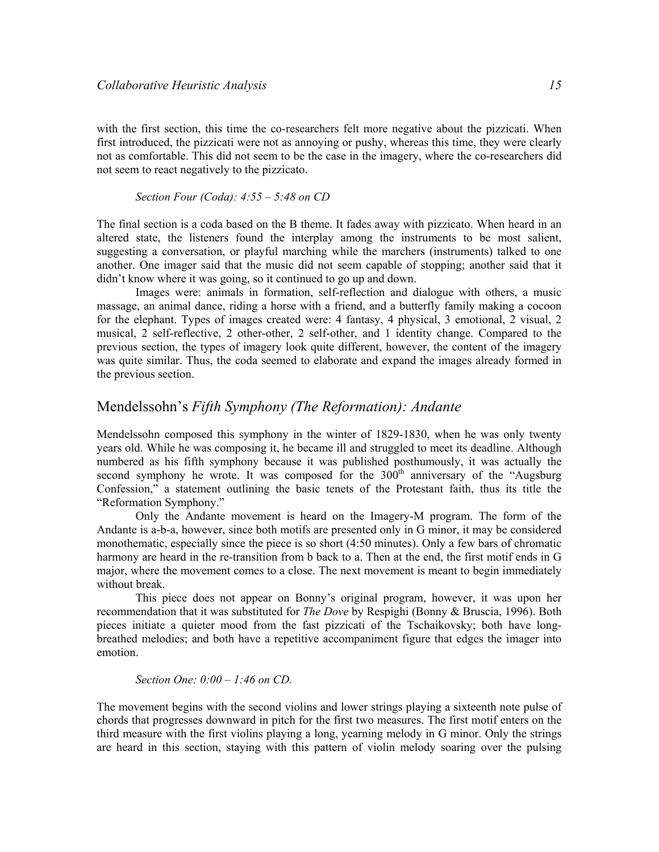with the first section, this time the co-researchers felt more negative about the pizzicati. When first introduced, the pizzicati were not as annoying or pushy, whereas this time, they were clearly not as comfortable. This did not seem to be the case in the imagery, where the co-researchers did not seem to react negatively to the pizzicato.

Section Four (Coda):  $4:55 - 5:48$  on CD

The final section is a coda based on the B theme. It fades away with pizzicato. When heard in an altered state, the listeners found the interplay among the instruments to be most salient, suggesting a conversation, or playful marching while the marchers (instruments) talked to one another. One imager said that the music did not seem capable of stopping; another said that it didn't know where it was going, so it continued to go up and down.

Images were: animals in formation, self-reflection and dialogue with others, a music massage, an animal dance, riding a horse with a friend, and a butterfly family making a cocoon for the elephant. Types of images created were: 4 fantasy, 4 physical, 3 emotional, 2 visual, 2 musical, 2 self-reflective, 2 other-other, 2 self-other, and 1 identity change. Compared to the previous section, the types of imagery look quite different, however, the content of the imagery was quite similar. Thus, the coda seemed to elaborate and expand the images already formed in the previous section.

## Mendelssohn's Fifth Symphony (The Reformation): Andante

Mendelssohn composed this symphony in the winter of 1829-1830, when he was only twenty years old. While he was composing it, he became ill and struggled to meet its deadline. Although numbered as his fifth symphony because it was published posthumously, it was actually the second symphony he wrote. It was composed for the  $300<sup>th</sup>$  anniversary of the "Augsburg Confession," a statement outlining the basic tenets of the Protestant faith, thus its title the "Reformation Symphony."

Only the Andante movement is heard on the Imagery-M program. The form of the Andante is a-b-a, however, since both motifs are presented only in G minor, it may be considered monothematic, especially since the piece is so short (4:50 minutes). Only a few bars of chromatic harmony are heard in the re-transition from b back to a. Then at the end, the first motif ends in G major, where the movement comes to a close. The next movement is meant to begin immediately without break.

This piece does not appear on Bonny's original program, however, it was upon her recommendation that it was substituted for *The Dove* by Respighi (Bonny & Bruscia, 1996). Both pieces initiate a quieter mood from the fast pizzicati of the Tschaikovsky; both have longbreathed melodies; and both have a repetitive accompaniment figure that edges the imager into emotion.

#### Section One: 0:00 – 1:46 on CD.

The movement begins with the second violins and lower strings playing a sixteenth note pulse of chords that progresses downward in pitch for the first two measures. The first motif enters on the third measure with the first violins playing a long, yearning melody in G minor. Only the strings are heard in this section, staying with this pattern of violin melody soaring over the pulsing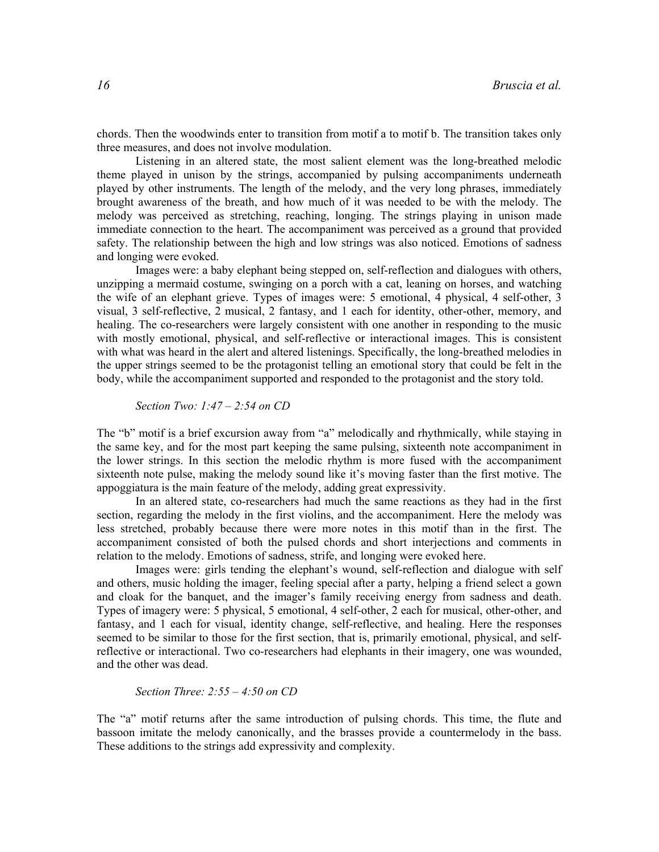chords. Then the woodwinds enter to transition from motif a to motif b. The transition takes only three measures, and does not involve modulation.

Listening in an altered state, the most salient element was the long-breathed melodic theme played in unison by the strings, accompanied by pulsing accompaniments underneath played by other instruments. The length of the melody, and the very long phrases, immediately brought awareness of the breath, and how much of it was needed to be with the melody. The melody was perceived as stretching, reaching, longing. The strings playing in unison made immediate connection to the heart. The accompaniment was perceived as a ground that provided safety. The relationship between the high and low strings was also noticed. Emotions of sadness and longing were evoked.

Images were: a baby elephant being stepped on, self-reflection and dialogues with others, unzipping a mermaid costume, swinging on a porch with a cat, leaning on horses, and watching the wife of an elephant grieve. Types of images were: 5 emotional, 4 physical, 4 self-other, 3 visual, 3 self-reflective, 2 musical, 2 fantasy, and 1 each for identity, other-other, memory, and healing. The co-researchers were largely consistent with one another in responding to the music with mostly emotional, physical, and self-reflective or interactional images. This is consistent with what was heard in the alert and altered listenings. Specifically, the long-breathed melodies in the upper strings seemed to be the protagonist telling an emotional story that could be felt in the body, while the accompaniment supported and responded to the protagonist and the story told.

Section Two:  $1:47 - 2:54$  on CD

The "b" motif is a brief excursion away from "a" melodically and rhythmically, while staying in the same key, and for the most part keeping the same pulsing, sixteenth note accompaniment in the lower strings. In this section the melodic rhythm is more fused with the accompaniment sixteenth note pulse, making the melody sound like it's moving faster than the first motive. The appoggiatura is the main feature of the melody, adding great expressivity.

In an altered state, co-researchers had much the same reactions as they had in the first section, regarding the melody in the first violins, and the accompaniment. Here the melody was less stretched, probably because there were more notes in this motif than in the first. The accompaniment consisted of both the pulsed chords and short interjections and comments in relation to the melody. Emotions of sadness, strife, and longing were evoked here.

Images were: girls tending the elephant's wound, self-reflection and dialogue with self and others, music holding the imager, feeling special after a party, helping a friend select a gown and cloak for the banquet, and the imager's family receiving energy from sadness and death. Types of imagery were: 5 physical, 5 emotional, 4 self-other, 2 each for musical, other-other, and fantasy, and 1 each for visual, identity change, self-reflective, and healing. Here the responses seemed to be similar to those for the first section, that is, primarily emotional, physical, and selfreflective or interactional. Two co-researchers had elephants in their imagery, one was wounded, and the other was dead.

Section Three:  $2:55 - 4:50$  on CD

The "a" motif returns after the same introduction of pulsing chords. This time, the flute and bassoon imitate the melody canonically, and the brasses provide a countermelody in the bass. These additions to the strings add expressivity and complexity.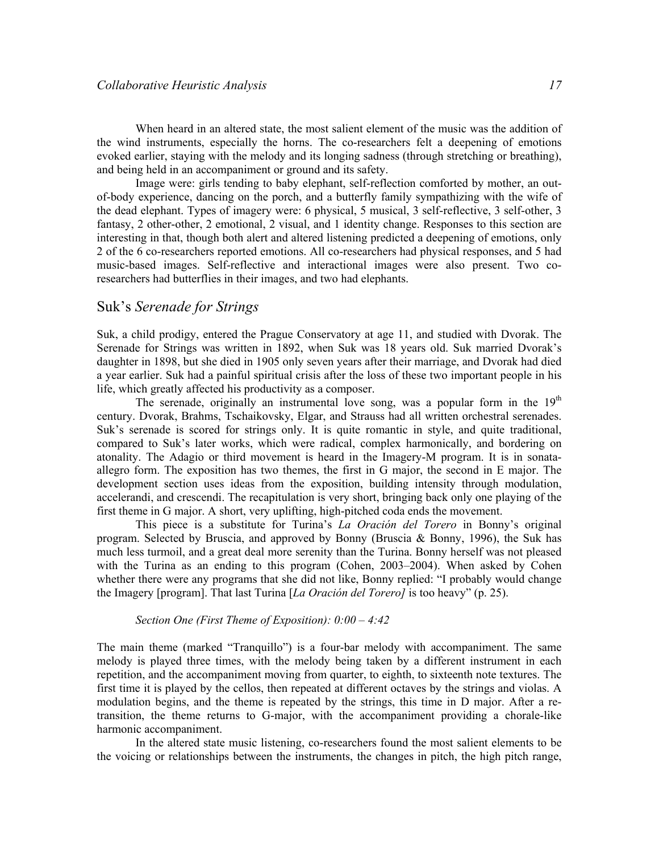When heard in an altered state, the most salient element of the music was the addition of the wind instruments, especially the horns. The co-researchers felt a deepening of emotions evoked earlier, staying with the melody and its longing sadness (through stretching or breathing), and being held in an accompaniment or ground and its safety.

Image were: girls tending to baby elephant, self-reflection comforted by mother, an outof-body experience, dancing on the porch, and a butterfly family sympathizing with the wife of the dead elephant. Types of imagery were: 6 physical, 5 musical, 3 self-reflective, 3 self-other, 3 fantasy, 2 other-other, 2 emotional, 2 visual, and 1 identity change. Responses to this section are interesting in that, though both alert and altered listening predicted a deepening of emotions, only 2 of the 6 co-researchers reported emotions. All co-researchers had physical responses, and 5 had music-based images. Self-reflective and interactional images were also present. Two coresearchers had butterflies in their images, and two had elephants.

## Suk's Serenade for Strings

Suk, a child prodigy, entered the Prague Conservatory at age 11, and studied with Dvorak. The Serenade for Strings was written in 1892, when Suk was 18 years old. Suk married Dvorak's daughter in 1898, but she died in 1905 only seven years after their marriage, and Dvorak had died a year earlier. Suk had a painful spiritual crisis after the loss of these two important people in his life, which greatly affected his productivity as a composer.

The serenade, originally an instrumental love song, was a popular form in the  $19<sup>th</sup>$ century. Dvorak, Brahms, Tschaikovsky, Elgar, and Strauss had all written orchestral serenades. Suk's serenade is scored for strings only. It is quite romantic in style, and quite traditional, compared to Suk's later works, which were radical, complex harmonically, and bordering on atonality. The Adagio or third movement is heard in the Imagery-M program. It is in sonataallegro form. The exposition has two themes, the first in G major, the second in E major. The development section uses ideas from the exposition, building intensity through modulation, accelerandi, and crescendi. The recapitulation is very short, bringing back only one playing of the first theme in G major. A short, very uplifting, high-pitched coda ends the movement.

This piece is a substitute for Turina's La Oración del Torero in Bonny's original program. Selected by Bruscia, and approved by Bonny (Bruscia & Bonny, 1996), the Suk has much less turmoil, and a great deal more serenity than the Turina. Bonny herself was not pleased with the Turina as an ending to this program (Cohen, 2003–2004). When asked by Cohen whether there were any programs that she did not like, Bonny replied: "I probably would change the Imagery [program]. That last Turina [La Oración del Torero] is too heavy" (p. 25).

#### Section One (First Theme of Exposition): 0:00 – 4:42

The main theme (marked "Tranquillo") is a four-bar melody with accompaniment. The same melody is played three times, with the melody being taken by a different instrument in each repetition, and the accompaniment moving from quarter, to eighth, to sixteenth note textures. The first time it is played by the cellos, then repeated at different octaves by the strings and violas. A modulation begins, and the theme is repeated by the strings, this time in D major. After a retransition, the theme returns to G-major, with the accompaniment providing a chorale-like harmonic accompaniment.

In the altered state music listening, co-researchers found the most salient elements to be the voicing or relationships between the instruments, the changes in pitch, the high pitch range,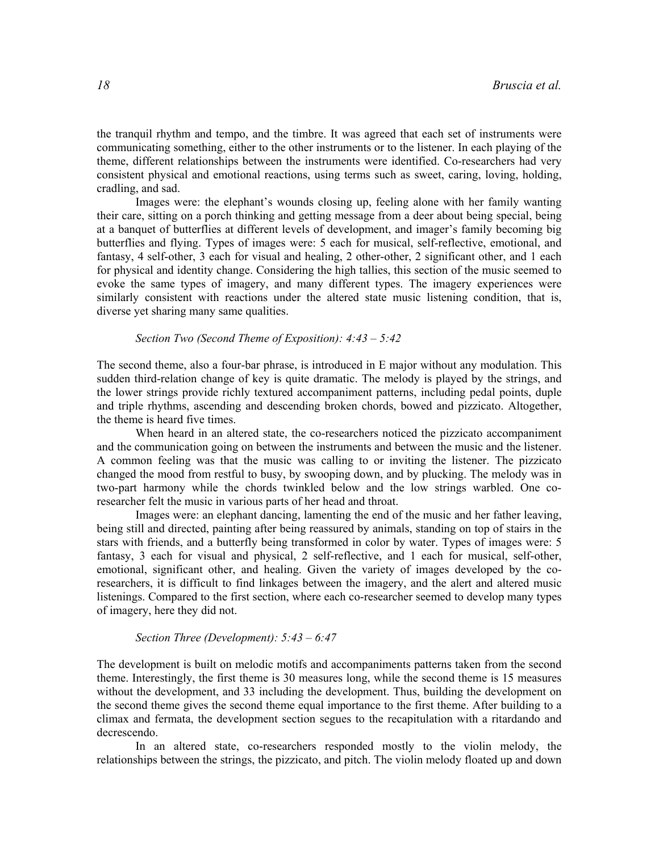the tranquil rhythm and tempo, and the timbre. It was agreed that each set of instruments were communicating something, either to the other instruments or to the listener. In each playing of the theme, different relationships between the instruments were identified. Co-researchers had very consistent physical and emotional reactions, using terms such as sweet, caring, loving, holding, cradling, and sad.

Images were: the elephant's wounds closing up, feeling alone with her family wanting their care, sitting on a porch thinking and getting message from a deer about being special, being at a banquet of butterflies at different levels of development, and imager's family becoming big butterflies and flying. Types of images were: 5 each for musical, self-reflective, emotional, and fantasy, 4 self-other, 3 each for visual and healing, 2 other-other, 2 significant other, and 1 each for physical and identity change. Considering the high tallies, this section of the music seemed to evoke the same types of imagery, and many different types. The imagery experiences were similarly consistent with reactions under the altered state music listening condition, that is, diverse yet sharing many same qualities.

#### Section Two (Second Theme of Exposition): 4:43 – 5:42

The second theme, also a four-bar phrase, is introduced in E major without any modulation. This sudden third-relation change of key is quite dramatic. The melody is played by the strings, and the lower strings provide richly textured accompaniment patterns, including pedal points, duple and triple rhythms, ascending and descending broken chords, bowed and pizzicato. Altogether, the theme is heard five times.

 When heard in an altered state, the co-researchers noticed the pizzicato accompaniment and the communication going on between the instruments and between the music and the listener. A common feeling was that the music was calling to or inviting the listener. The pizzicato changed the mood from restful to busy, by swooping down, and by plucking. The melody was in two-part harmony while the chords twinkled below and the low strings warbled. One coresearcher felt the music in various parts of her head and throat.

Images were: an elephant dancing, lamenting the end of the music and her father leaving, being still and directed, painting after being reassured by animals, standing on top of stairs in the stars with friends, and a butterfly being transformed in color by water. Types of images were: 5 fantasy, 3 each for visual and physical, 2 self-reflective, and 1 each for musical, self-other, emotional, significant other, and healing. Given the variety of images developed by the coresearchers, it is difficult to find linkages between the imagery, and the alert and altered music listenings. Compared to the first section, where each co-researcher seemed to develop many types of imagery, here they did not.

#### Section Three (Development): 5:43 – 6:47

The development is built on melodic motifs and accompaniments patterns taken from the second theme. Interestingly, the first theme is 30 measures long, while the second theme is 15 measures without the development, and 33 including the development. Thus, building the development on the second theme gives the second theme equal importance to the first theme. After building to a climax and fermata, the development section segues to the recapitulation with a ritardando and decrescendo.

In an altered state, co-researchers responded mostly to the violin melody, the relationships between the strings, the pizzicato, and pitch. The violin melody floated up and down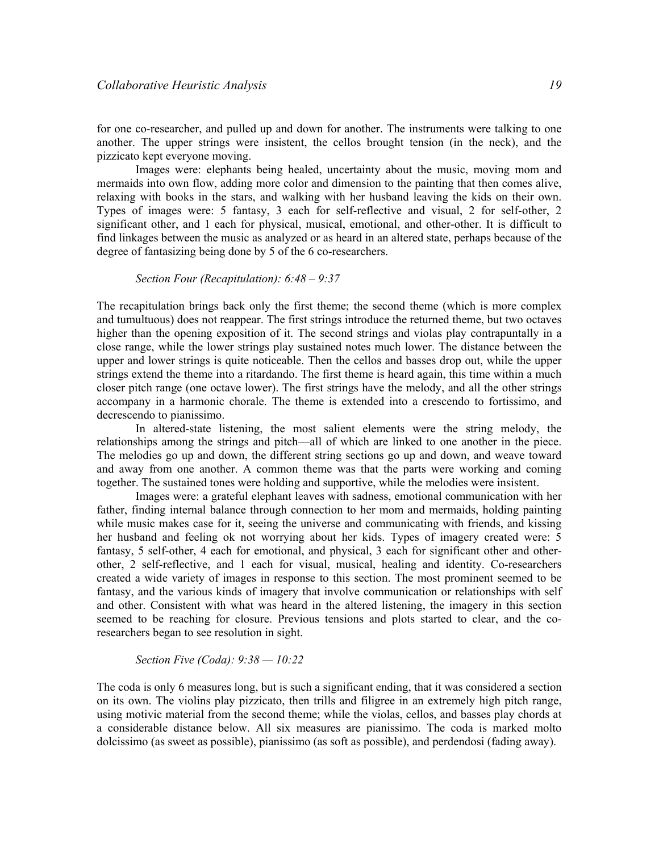for one co-researcher, and pulled up and down for another. The instruments were talking to one another. The upper strings were insistent, the cellos brought tension (in the neck), and the pizzicato kept everyone moving.

Images were: elephants being healed, uncertainty about the music, moving mom and mermaids into own flow, adding more color and dimension to the painting that then comes alive, relaxing with books in the stars, and walking with her husband leaving the kids on their own. Types of images were: 5 fantasy, 3 each for self-reflective and visual, 2 for self-other, 2 significant other, and 1 each for physical, musical, emotional, and other-other. It is difficult to find linkages between the music as analyzed or as heard in an altered state, perhaps because of the degree of fantasizing being done by 5 of the 6 co-researchers.

#### Section Four (Recapitulation): 6:48 – 9:37

The recapitulation brings back only the first theme; the second theme (which is more complex and tumultuous) does not reappear. The first strings introduce the returned theme, but two octaves higher than the opening exposition of it. The second strings and violas play contrapuntally in a close range, while the lower strings play sustained notes much lower. The distance between the upper and lower strings is quite noticeable. Then the cellos and basses drop out, while the upper strings extend the theme into a ritardando. The first theme is heard again, this time within a much closer pitch range (one octave lower). The first strings have the melody, and all the other strings accompany in a harmonic chorale. The theme is extended into a crescendo to fortissimo, and decrescendo to pianissimo.

 In altered-state listening, the most salient elements were the string melody, the relationships among the strings and pitch—all of which are linked to one another in the piece. The melodies go up and down, the different string sections go up and down, and weave toward and away from one another. A common theme was that the parts were working and coming together. The sustained tones were holding and supportive, while the melodies were insistent.

Images were: a grateful elephant leaves with sadness, emotional communication with her father, finding internal balance through connection to her mom and mermaids, holding painting while music makes case for it, seeing the universe and communicating with friends, and kissing her husband and feeling ok not worrying about her kids. Types of imagery created were: 5 fantasy, 5 self-other, 4 each for emotional, and physical, 3 each for significant other and otherother, 2 self-reflective, and 1 each for visual, musical, healing and identity. Co-researchers created a wide variety of images in response to this section. The most prominent seemed to be fantasy, and the various kinds of imagery that involve communication or relationships with self and other. Consistent with what was heard in the altered listening, the imagery in this section seemed to be reaching for closure. Previous tensions and plots started to clear, and the coresearchers began to see resolution in sight.

#### Section Five (Coda): 9:38 — 10:22

The coda is only 6 measures long, but is such a significant ending, that it was considered a section on its own. The violins play pizzicato, then trills and filigree in an extremely high pitch range, using motivic material from the second theme; while the violas, cellos, and basses play chords at a considerable distance below. All six measures are pianissimo. The coda is marked molto dolcissimo (as sweet as possible), pianissimo (as soft as possible), and perdendosi (fading away).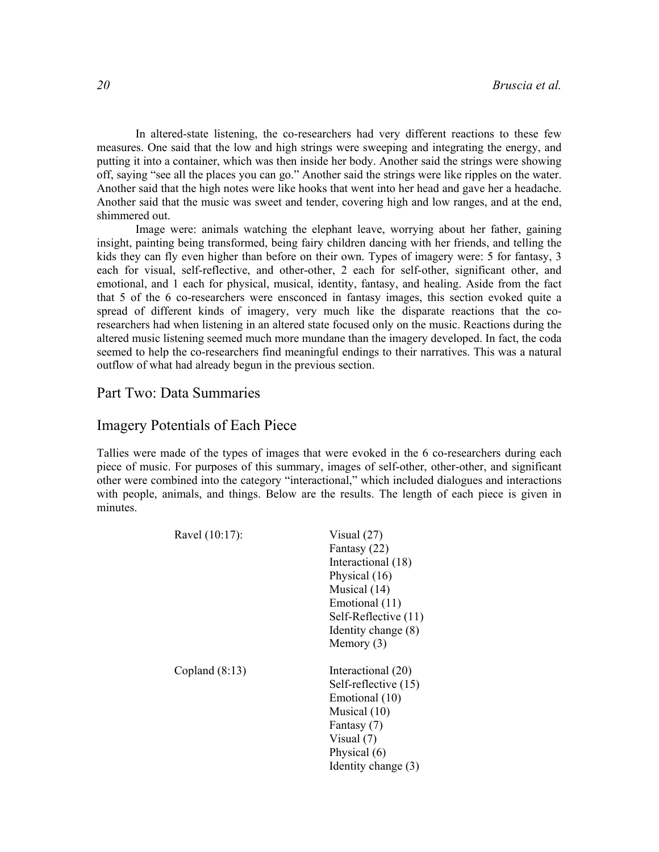In altered-state listening, the co-researchers had very different reactions to these few measures. One said that the low and high strings were sweeping and integrating the energy, and putting it into a container, which was then inside her body. Another said the strings were showing off, saying "see all the places you can go." Another said the strings were like ripples on the water. Another said that the high notes were like hooks that went into her head and gave her a headache. Another said that the music was sweet and tender, covering high and low ranges, and at the end, shimmered out.

Image were: animals watching the elephant leave, worrying about her father, gaining insight, painting being transformed, being fairy children dancing with her friends, and telling the kids they can fly even higher than before on their own. Types of imagery were: 5 for fantasy, 3 each for visual, self-reflective, and other-other, 2 each for self-other, significant other, and emotional, and 1 each for physical, musical, identity, fantasy, and healing. Aside from the fact that 5 of the 6 co-researchers were ensconced in fantasy images, this section evoked quite a spread of different kinds of imagery, very much like the disparate reactions that the coresearchers had when listening in an altered state focused only on the music. Reactions during the altered music listening seemed much more mundane than the imagery developed. In fact, the coda seemed to help the co-researchers find meaningful endings to their narratives. This was a natural outflow of what had already begun in the previous section.

## Part Two: Data Summaries

### Imagery Potentials of Each Piece

Tallies were made of the types of images that were evoked in the 6 co-researchers during each piece of music. For purposes of this summary, images of self-other, other-other, and significant other were combined into the category "interactional," which included dialogues and interactions with people, animals, and things. Below are the results. The length of each piece is given in minutes.

| Ravel (10:17):   | Visual $(27)$<br>Fantasy (22)<br>Interactional (18)<br>Physical (16)<br>Musical (14)<br>Emotional (11)<br>Self-Reflective (11)<br>Identity change (8)              |
|------------------|--------------------------------------------------------------------------------------------------------------------------------------------------------------------|
| Copland $(8:13)$ | Memory $(3)$<br>Interactional (20)<br>Self-reflective (15)<br>Emotional (10)<br>Musical (10)<br>Fantasy (7)<br>Visual $(7)$<br>Physical (6)<br>Identity change (3) |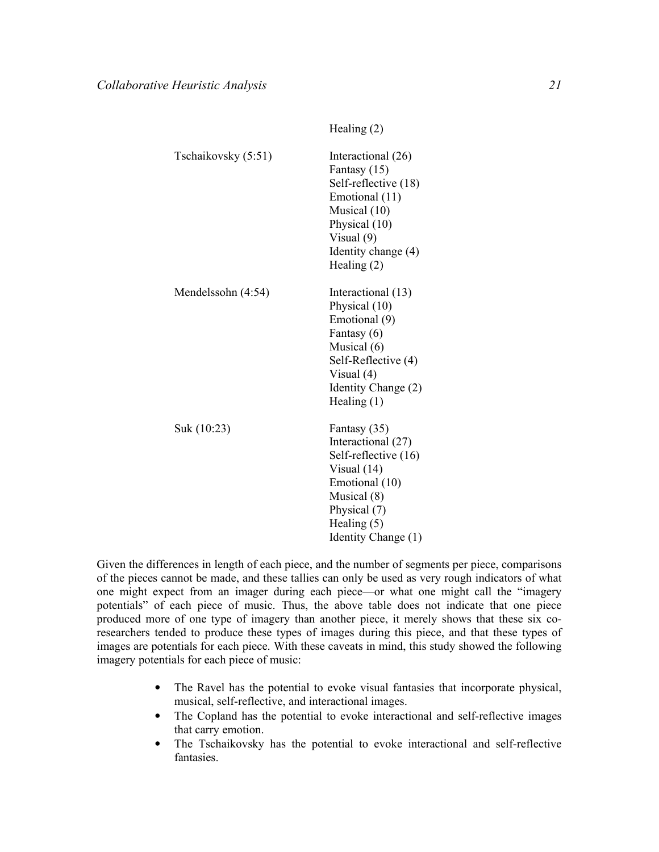|                     | $110$ unit $6(2)$                                                                                                                                                    |
|---------------------|----------------------------------------------------------------------------------------------------------------------------------------------------------------------|
| Tschaikovsky (5:51) | Interactional (26)<br>Fantasy (15)<br>Self-reflective (18)<br>Emotional (11)<br>Musical (10)<br>Physical (10)<br>Visual $(9)$<br>Identity change (4)<br>Healing (2)  |
| Mendelssohn (4:54)  | Interactional (13)<br>Physical (10)<br>Emotional (9)<br>Fantasy (6)<br>Musical (6)<br>Self-Reflective (4)<br>Visual $(4)$<br>Identity Change (2)<br>Healing $(1)$    |
| Suk (10:23)         | Fantasy (35)<br>Interactional (27)<br>Self-reflective (16)<br>Visual $(14)$<br>Emotional (10)<br>Musical (8)<br>Physical (7)<br>Healing $(5)$<br>Identity Change (1) |

 $H_{\rho 2}$ ling  $(2)$ 

Given the differences in length of each piece, and the number of segments per piece, comparisons of the pieces cannot be made, and these tallies can only be used as very rough indicators of what one might expect from an imager during each piece—or what one might call the "imagery potentials" of each piece of music. Thus, the above table does not indicate that one piece produced more of one type of imagery than another piece, it merely shows that these six coresearchers tended to produce these types of images during this piece, and that these types of images are potentials for each piece. With these caveats in mind, this study showed the following imagery potentials for each piece of music:

- The Ravel has the potential to evoke visual fantasies that incorporate physical, musical, self-reflective, and interactional images.
- The Copland has the potential to evoke interactional and self-reflective images that carry emotion.
- The Tschaikovsky has the potential to evoke interactional and self-reflective fantasies.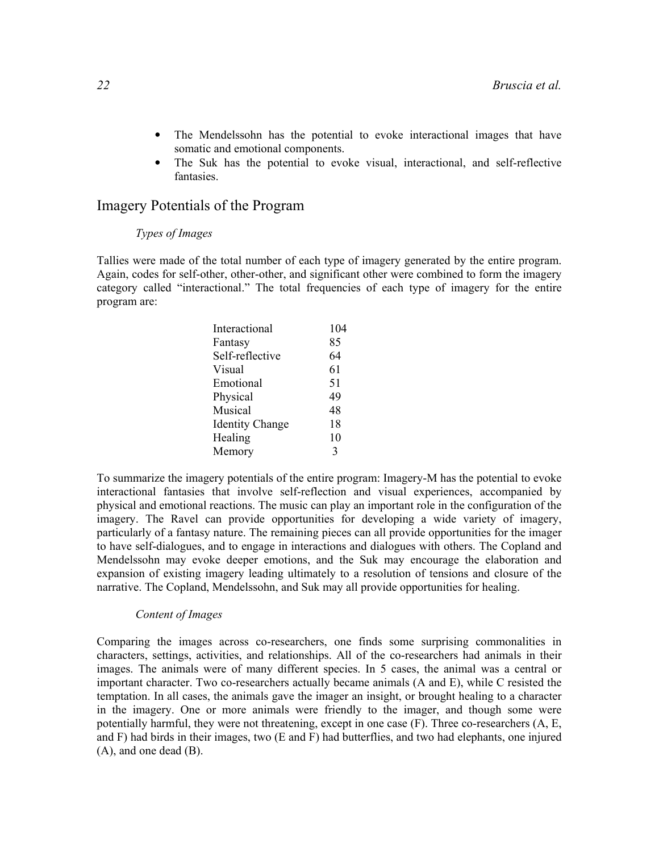- The Mendelssohn has the potential to evoke interactional images that have somatic and emotional components.
- The Suk has the potential to evoke visual, interactional, and self-reflective fantasies.

## Imagery Potentials of the Program

#### Types of Images

Tallies were made of the total number of each type of imagery generated by the entire program. Again, codes for self-other, other-other, and significant other were combined to form the imagery category called "interactional." The total frequencies of each type of imagery for the entire program are:

| Interactional          | 104 |
|------------------------|-----|
| Fantasy                | 85  |
| Self-reflective        | 64  |
| Visual                 | 61  |
| Emotional              | 51  |
| Physical               | 49  |
| Musical                | 48  |
| <b>Identity Change</b> | 18  |
| Healing                | 10  |
| Memory                 | 3   |

To summarize the imagery potentials of the entire program: Imagery-M has the potential to evoke interactional fantasies that involve self-reflection and visual experiences, accompanied by physical and emotional reactions. The music can play an important role in the configuration of the imagery. The Ravel can provide opportunities for developing a wide variety of imagery, particularly of a fantasy nature. The remaining pieces can all provide opportunities for the imager to have self-dialogues, and to engage in interactions and dialogues with others. The Copland and Mendelssohn may evoke deeper emotions, and the Suk may encourage the elaboration and expansion of existing imagery leading ultimately to a resolution of tensions and closure of the narrative. The Copland, Mendelssohn, and Suk may all provide opportunities for healing.

#### Content of Images

Comparing the images across co-researchers, one finds some surprising commonalities in characters, settings, activities, and relationships. All of the co-researchers had animals in their images. The animals were of many different species. In 5 cases, the animal was a central or important character. Two co-researchers actually became animals (A and E), while C resisted the temptation. In all cases, the animals gave the imager an insight, or brought healing to a character in the imagery. One or more animals were friendly to the imager, and though some were potentially harmful, they were not threatening, except in one case  $(F)$ . Three co-researchers  $(A, E)$ , and F) had birds in their images, two (E and F) had butterflies, and two had elephants, one injured (A), and one dead (B).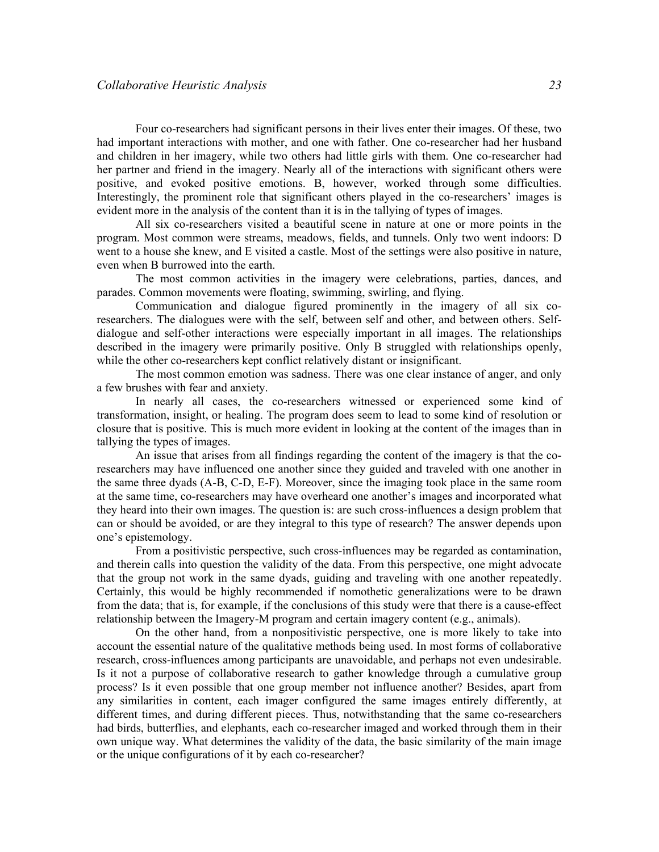Four co-researchers had significant persons in their lives enter their images. Of these, two had important interactions with mother, and one with father. One co-researcher had her husband and children in her imagery, while two others had little girls with them. One co-researcher had her partner and friend in the imagery. Nearly all of the interactions with significant others were positive, and evoked positive emotions. B, however, worked through some difficulties. Interestingly, the prominent role that significant others played in the co-researchers' images is evident more in the analysis of the content than it is in the tallying of types of images.

 All six co-researchers visited a beautiful scene in nature at one or more points in the program. Most common were streams, meadows, fields, and tunnels. Only two went indoors: D went to a house she knew, and E visited a castle. Most of the settings were also positive in nature, even when B burrowed into the earth.

 The most common activities in the imagery were celebrations, parties, dances, and parades. Common movements were floating, swimming, swirling, and flying.

 Communication and dialogue figured prominently in the imagery of all six coresearchers. The dialogues were with the self, between self and other, and between others. Selfdialogue and self-other interactions were especially important in all images. The relationships described in the imagery were primarily positive. Only B struggled with relationships openly, while the other co-researchers kept conflict relatively distant or insignificant.

 The most common emotion was sadness. There was one clear instance of anger, and only a few brushes with fear and anxiety.

 In nearly all cases, the co-researchers witnessed or experienced some kind of transformation, insight, or healing. The program does seem to lead to some kind of resolution or closure that is positive. This is much more evident in looking at the content of the images than in tallying the types of images.

 An issue that arises from all findings regarding the content of the imagery is that the coresearchers may have influenced one another since they guided and traveled with one another in the same three dyads (A-B, C-D, E-F). Moreover, since the imaging took place in the same room at the same time, co-researchers may have overheard one another's images and incorporated what they heard into their own images. The question is: are such cross-influences a design problem that can or should be avoided, or are they integral to this type of research? The answer depends upon one's epistemology.

From a positivistic perspective, such cross-influences may be regarded as contamination, and therein calls into question the validity of the data. From this perspective, one might advocate that the group not work in the same dyads, guiding and traveling with one another repeatedly. Certainly, this would be highly recommended if nomothetic generalizations were to be drawn from the data; that is, for example, if the conclusions of this study were that there is a cause-effect relationship between the Imagery-M program and certain imagery content (e.g., animals).

On the other hand, from a nonpositivistic perspective, one is more likely to take into account the essential nature of the qualitative methods being used. In most forms of collaborative research, cross-influences among participants are unavoidable, and perhaps not even undesirable. Is it not a purpose of collaborative research to gather knowledge through a cumulative group process? Is it even possible that one group member not influence another? Besides, apart from any similarities in content, each imager configured the same images entirely differently, at different times, and during different pieces. Thus, notwithstanding that the same co-researchers had birds, butterflies, and elephants, each co-researcher imaged and worked through them in their own unique way. What determines the validity of the data, the basic similarity of the main image or the unique configurations of it by each co-researcher?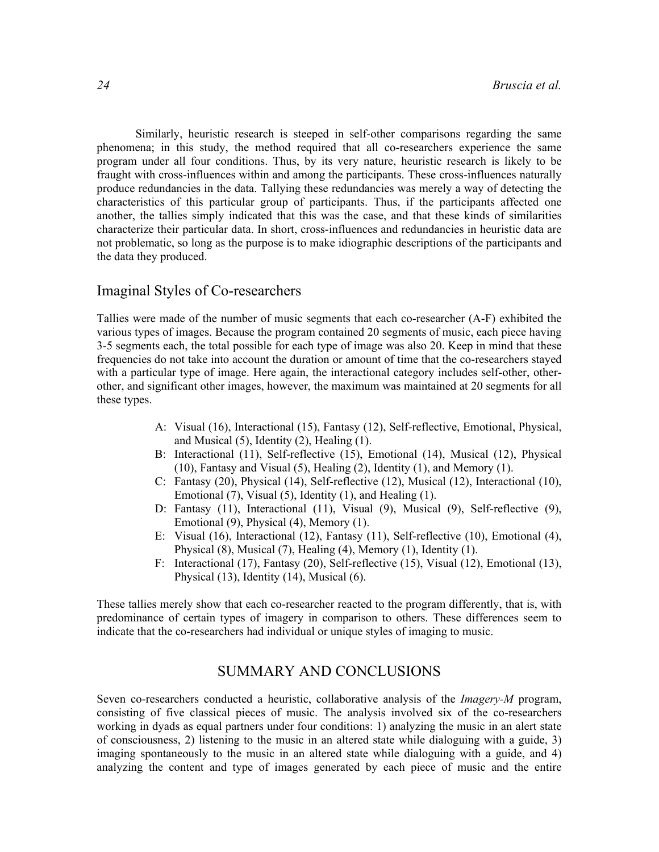Similarly, heuristic research is steeped in self-other comparisons regarding the same phenomena; in this study, the method required that all co-researchers experience the same program under all four conditions. Thus, by its very nature, heuristic research is likely to be fraught with cross-influences within and among the participants. These cross-influences naturally produce redundancies in the data. Tallying these redundancies was merely a way of detecting the characteristics of this particular group of participants. Thus, if the participants affected one another, the tallies simply indicated that this was the case, and that these kinds of similarities characterize their particular data. In short, cross-influences and redundancies in heuristic data are not problematic, so long as the purpose is to make idiographic descriptions of the participants and the data they produced.

## Imaginal Styles of Co-researchers

Tallies were made of the number of music segments that each co-researcher (A-F) exhibited the various types of images. Because the program contained 20 segments of music, each piece having 3-5 segments each, the total possible for each type of image was also 20. Keep in mind that these frequencies do not take into account the duration or amount of time that the co-researchers stayed with a particular type of image. Here again, the interactional category includes self-other, otherother, and significant other images, however, the maximum was maintained at 20 segments for all these types.

- A: Visual (16), Interactional (15), Fantasy (12), Self-reflective, Emotional, Physical, and Musical (5), Identity (2), Healing (1).
- B: Interactional (11), Self-reflective (15), Emotional (14), Musical (12), Physical (10), Fantasy and Visual (5), Healing (2), Identity (1), and Memory (1).
- C: Fantasy (20), Physical (14), Self-reflective (12), Musical (12), Interactional (10), Emotional (7), Visual (5), Identity (1), and Healing (1).
- D: Fantasy (11), Interactional (11), Visual (9), Musical (9), Self-reflective (9), Emotional (9), Physical (4), Memory (1).
- E: Visual (16), Interactional (12), Fantasy (11), Self-reflective (10), Emotional (4), Physical (8), Musical (7), Healing (4), Memory (1), Identity (1).
- F: Interactional (17), Fantasy (20), Self-reflective (15), Visual (12), Emotional (13), Physical (13), Identity (14), Musical (6).

These tallies merely show that each co-researcher reacted to the program differently, that is, with predominance of certain types of imagery in comparison to others. These differences seem to indicate that the co-researchers had individual or unique styles of imaging to music.

## SUMMARY AND CONCLUSIONS

Seven co-researchers conducted a heuristic, collaborative analysis of the *Imagery-M* program, consisting of five classical pieces of music. The analysis involved six of the co-researchers working in dyads as equal partners under four conditions: 1) analyzing the music in an alert state of consciousness, 2) listening to the music in an altered state while dialoguing with a guide, 3) imaging spontaneously to the music in an altered state while dialoguing with a guide, and 4) analyzing the content and type of images generated by each piece of music and the entire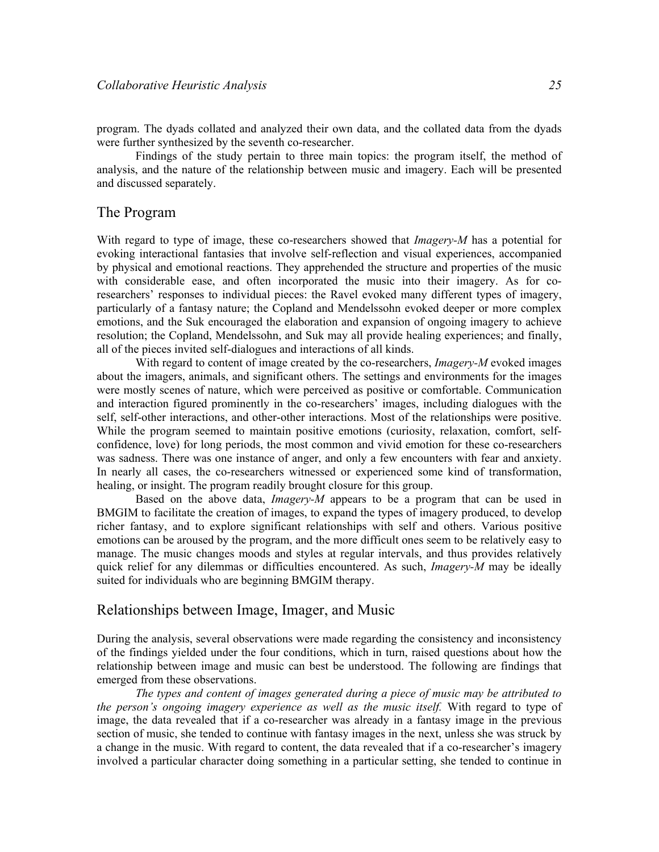program. The dyads collated and analyzed their own data, and the collated data from the dyads were further synthesized by the seventh co-researcher.

Findings of the study pertain to three main topics: the program itself, the method of analysis, and the nature of the relationship between music and imagery. Each will be presented and discussed separately.

### The Program

With regard to type of image, these co-researchers showed that *Imagery-M* has a potential for evoking interactional fantasies that involve self-reflection and visual experiences, accompanied by physical and emotional reactions. They apprehended the structure and properties of the music with considerable ease, and often incorporated the music into their imagery. As for coresearchers' responses to individual pieces: the Ravel evoked many different types of imagery, particularly of a fantasy nature; the Copland and Mendelssohn evoked deeper or more complex emotions, and the Suk encouraged the elaboration and expansion of ongoing imagery to achieve resolution; the Copland, Mendelssohn, and Suk may all provide healing experiences; and finally, all of the pieces invited self-dialogues and interactions of all kinds.

With regard to content of image created by the co-researchers, *Imagery-M* evoked images about the imagers, animals, and significant others. The settings and environments for the images were mostly scenes of nature, which were perceived as positive or comfortable. Communication and interaction figured prominently in the co-researchers' images, including dialogues with the self, self-other interactions, and other-other interactions. Most of the relationships were positive. While the program seemed to maintain positive emotions (curiosity, relaxation, comfort, selfconfidence, love) for long periods, the most common and vivid emotion for these co-researchers was sadness. There was one instance of anger, and only a few encounters with fear and anxiety. In nearly all cases, the co-researchers witnessed or experienced some kind of transformation, healing, or insight. The program readily brought closure for this group.

Based on the above data, *Imagery-M* appears to be a program that can be used in BMGIM to facilitate the creation of images, to expand the types of imagery produced, to develop richer fantasy, and to explore significant relationships with self and others. Various positive emotions can be aroused by the program, and the more difficult ones seem to be relatively easy to manage. The music changes moods and styles at regular intervals, and thus provides relatively quick relief for any dilemmas or difficulties encountered. As such, *Imagery-M* may be ideally suited for individuals who are beginning BMGIM therapy.

## Relationships between Image, Imager, and Music

During the analysis, several observations were made regarding the consistency and inconsistency of the findings yielded under the four conditions, which in turn, raised questions about how the relationship between image and music can best be understood. The following are findings that emerged from these observations.

The types and content of images generated during a piece of music may be attributed to the person's ongoing imagery experience as well as the music itself. With regard to type of image, the data revealed that if a co-researcher was already in a fantasy image in the previous section of music, she tended to continue with fantasy images in the next, unless she was struck by a change in the music. With regard to content, the data revealed that if a co-researcher's imagery involved a particular character doing something in a particular setting, she tended to continue in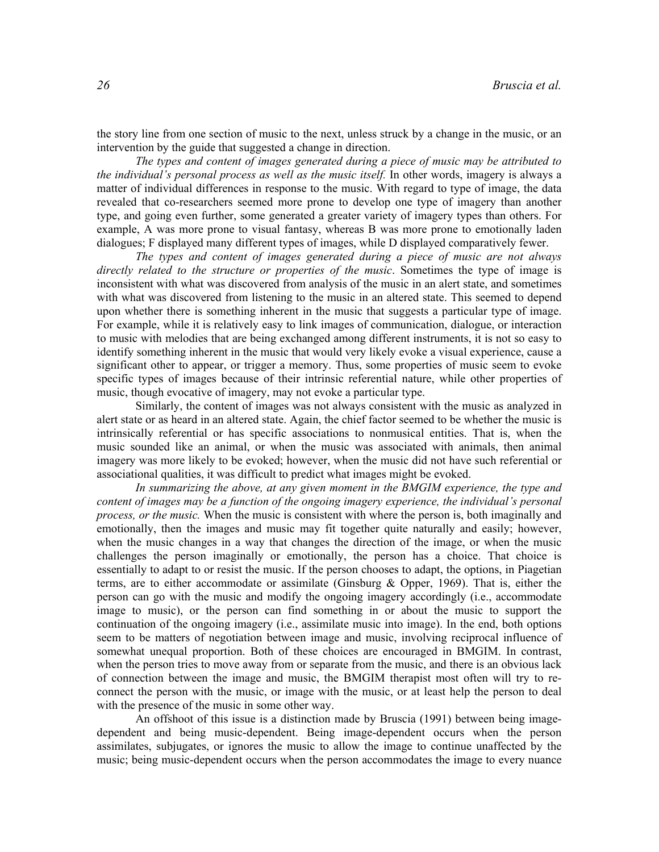the story line from one section of music to the next, unless struck by a change in the music, or an intervention by the guide that suggested a change in direction.

The types and content of images generated during a piece of music may be attributed to the individual's personal process as well as the music itself. In other words, imagery is always a matter of individual differences in response to the music. With regard to type of image, the data revealed that co-researchers seemed more prone to develop one type of imagery than another type, and going even further, some generated a greater variety of imagery types than others. For example, A was more prone to visual fantasy, whereas B was more prone to emotionally laden dialogues; F displayed many different types of images, while D displayed comparatively fewer.

The types and content of images generated during a piece of music are not always directly related to the structure or properties of the music. Sometimes the type of image is inconsistent with what was discovered from analysis of the music in an alert state, and sometimes with what was discovered from listening to the music in an altered state. This seemed to depend upon whether there is something inherent in the music that suggests a particular type of image. For example, while it is relatively easy to link images of communication, dialogue, or interaction to music with melodies that are being exchanged among different instruments, it is not so easy to identify something inherent in the music that would very likely evoke a visual experience, cause a significant other to appear, or trigger a memory. Thus, some properties of music seem to evoke specific types of images because of their intrinsic referential nature, while other properties of music, though evocative of imagery, may not evoke a particular type.

Similarly, the content of images was not always consistent with the music as analyzed in alert state or as heard in an altered state. Again, the chief factor seemed to be whether the music is intrinsically referential or has specific associations to nonmusical entities. That is, when the music sounded like an animal, or when the music was associated with animals, then animal imagery was more likely to be evoked; however, when the music did not have such referential or associational qualities, it was difficult to predict what images might be evoked.

In summarizing the above, at any given moment in the BMGIM experience, the type and content of images may be a function of the ongoing imagery experience, the individual's personal process, or the music. When the music is consistent with where the person is, both imaginally and emotionally, then the images and music may fit together quite naturally and easily; however, when the music changes in a way that changes the direction of the image, or when the music challenges the person imaginally or emotionally, the person has a choice. That choice is essentially to adapt to or resist the music. If the person chooses to adapt, the options, in Piagetian terms, are to either accommodate or assimilate (Ginsburg & Opper, 1969). That is, either the person can go with the music and modify the ongoing imagery accordingly (i.e., accommodate image to music), or the person can find something in or about the music to support the continuation of the ongoing imagery (i.e., assimilate music into image). In the end, both options seem to be matters of negotiation between image and music, involving reciprocal influence of somewhat unequal proportion. Both of these choices are encouraged in BMGIM. In contrast, when the person tries to move away from or separate from the music, and there is an obvious lack of connection between the image and music, the BMGIM therapist most often will try to reconnect the person with the music, or image with the music, or at least help the person to deal with the presence of the music in some other way.

An offshoot of this issue is a distinction made by Bruscia (1991) between being imagedependent and being music-dependent. Being image-dependent occurs when the person assimilates, subjugates, or ignores the music to allow the image to continue unaffected by the music; being music-dependent occurs when the person accommodates the image to every nuance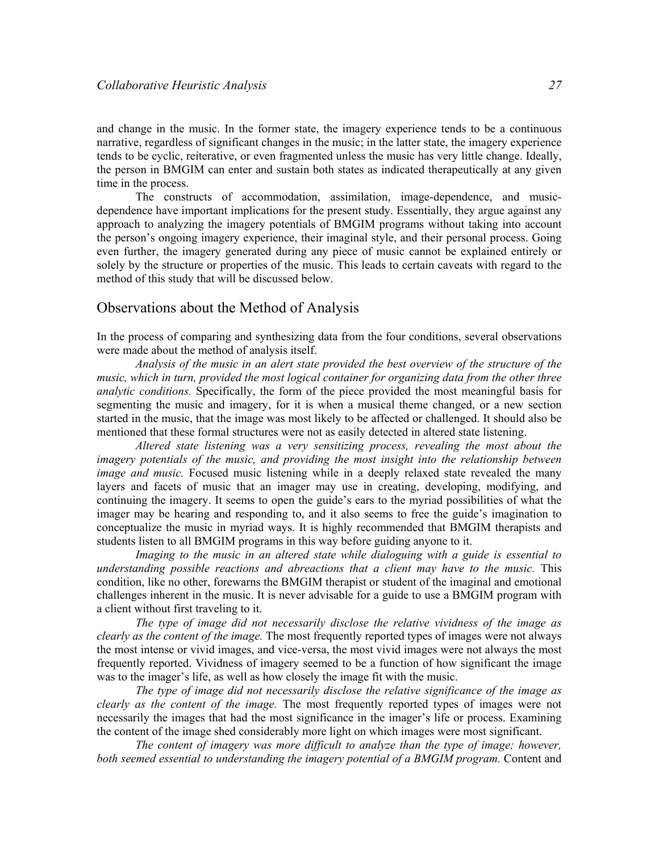and change in the music. In the former state, the imagery experience tends to be a continuous narrative, regardless of significant changes in the music; in the latter state, the imagery experience tends to be cyclic, reiterative, or even fragmented unless the music has very little change. Ideally, the person in BMGIM can enter and sustain both states as indicated therapeutically at any given time in the process.

The constructs of accommodation, assimilation, image-dependence, and musicdependence have important implications for the present study. Essentially, they argue against any approach to analyzing the imagery potentials of BMGIM programs without taking into account the person's ongoing imagery experience, their imaginal style, and their personal process. Going even further, the imagery generated during any piece of music cannot be explained entirely or solely by the structure or properties of the music. This leads to certain caveats with regard to the method of this study that will be discussed below.

## Observations about the Method of Analysis

In the process of comparing and synthesizing data from the four conditions, several observations were made about the method of analysis itself.

Analysis of the music in an alert state provided the best overview of the structure of the music, which in turn, provided the most logical container for organizing data from the other three analytic conditions. Specifically, the form of the piece provided the most meaningful basis for segmenting the music and imagery, for it is when a musical theme changed, or a new section started in the music, that the image was most likely to be affected or challenged. It should also be mentioned that these formal structures were not as easily detected in altered state listening.

Altered state listening was a very sensitizing process, revealing the most about the imagery potentials of the music, and providing the most insight into the relationship between image and music. Focused music listening while in a deeply relaxed state revealed the many layers and facets of music that an imager may use in creating, developing, modifying, and continuing the imagery. It seems to open the guide's ears to the myriad possibilities of what the imager may be hearing and responding to, and it also seems to free the guide's imagination to conceptualize the music in myriad ways. It is highly recommended that BMGIM therapists and students listen to all BMGIM programs in this way before guiding anyone to it.

Imaging to the music in an altered state while dialoguing with a guide is essential to understanding possible reactions and abreactions that a client may have to the music. This condition, like no other, forewarns the BMGIM therapist or student of the imaginal and emotional challenges inherent in the music. It is never advisable for a guide to use a BMGIM program with a client without first traveling to it.

The type of image did not necessarily disclose the relative vividness of the image as clearly as the content of the image. The most frequently reported types of images were not always the most intense or vivid images, and vice-versa, the most vivid images were not always the most frequently reported. Vividness of imagery seemed to be a function of how significant the image was to the imager's life, as well as how closely the image fit with the music.

The type of image did not necessarily disclose the relative significance of the image as clearly as the content of the image. The most frequently reported types of images were not necessarily the images that had the most significance in the imager's life or process. Examining the content of the image shed considerably more light on which images were most significant.

The content of imagery was more difficult to analyze than the type of image; however, both seemed essential to understanding the imagery potential of a BMGIM program. Content and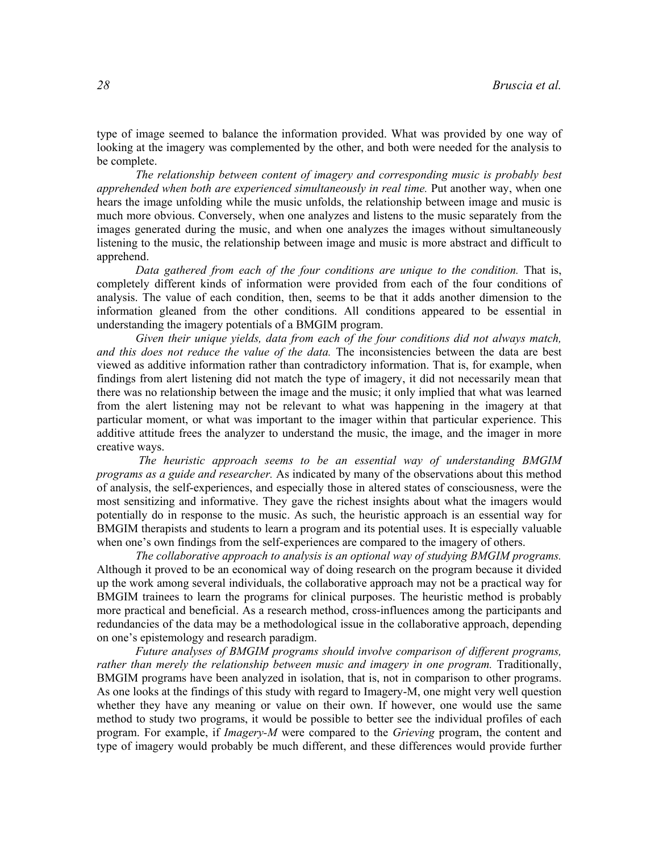type of image seemed to balance the information provided. What was provided by one way of looking at the imagery was complemented by the other, and both were needed for the analysis to be complete.

The relationship between content of imagery and corresponding music is probably best apprehended when both are experienced simultaneously in real time. Put another way, when one hears the image unfolding while the music unfolds, the relationship between image and music is much more obvious. Conversely, when one analyzes and listens to the music separately from the images generated during the music, and when one analyzes the images without simultaneously listening to the music, the relationship between image and music is more abstract and difficult to apprehend.

Data gathered from each of the four conditions are unique to the condition. That is, completely different kinds of information were provided from each of the four conditions of analysis. The value of each condition, then, seems to be that it adds another dimension to the information gleaned from the other conditions. All conditions appeared to be essential in understanding the imagery potentials of a BMGIM program.

Given their unique yields, data from each of the four conditions did not always match, and this does not reduce the value of the data. The inconsistencies between the data are best viewed as additive information rather than contradictory information. That is, for example, when findings from alert listening did not match the type of imagery, it did not necessarily mean that there was no relationship between the image and the music; it only implied that what was learned from the alert listening may not be relevant to what was happening in the imagery at that particular moment, or what was important to the imager within that particular experience. This additive attitude frees the analyzer to understand the music, the image, and the imager in more creative ways.

The heuristic approach seems to be an essential way of understanding BMGIM programs as a guide and researcher. As indicated by many of the observations about this method of analysis, the self-experiences, and especially those in altered states of consciousness, were the most sensitizing and informative. They gave the richest insights about what the imagers would potentially do in response to the music. As such, the heuristic approach is an essential way for BMGIM therapists and students to learn a program and its potential uses. It is especially valuable when one's own findings from the self-experiences are compared to the imagery of others.

The collaborative approach to analysis is an optional way of studying BMGIM programs. Although it proved to be an economical way of doing research on the program because it divided up the work among several individuals, the collaborative approach may not be a practical way for BMGIM trainees to learn the programs for clinical purposes. The heuristic method is probably more practical and beneficial. As a research method, cross-influences among the participants and redundancies of the data may be a methodological issue in the collaborative approach, depending on one's epistemology and research paradigm.

Future analyses of BMGIM programs should involve comparison of different programs, rather than merely the relationship between music and imagery in one program. Traditionally, BMGIM programs have been analyzed in isolation, that is, not in comparison to other programs. As one looks at the findings of this study with regard to Imagery-M, one might very well question whether they have any meaning or value on their own. If however, one would use the same method to study two programs, it would be possible to better see the individual profiles of each program. For example, if *Imagery-M* were compared to the *Grieving* program, the content and type of imagery would probably be much different, and these differences would provide further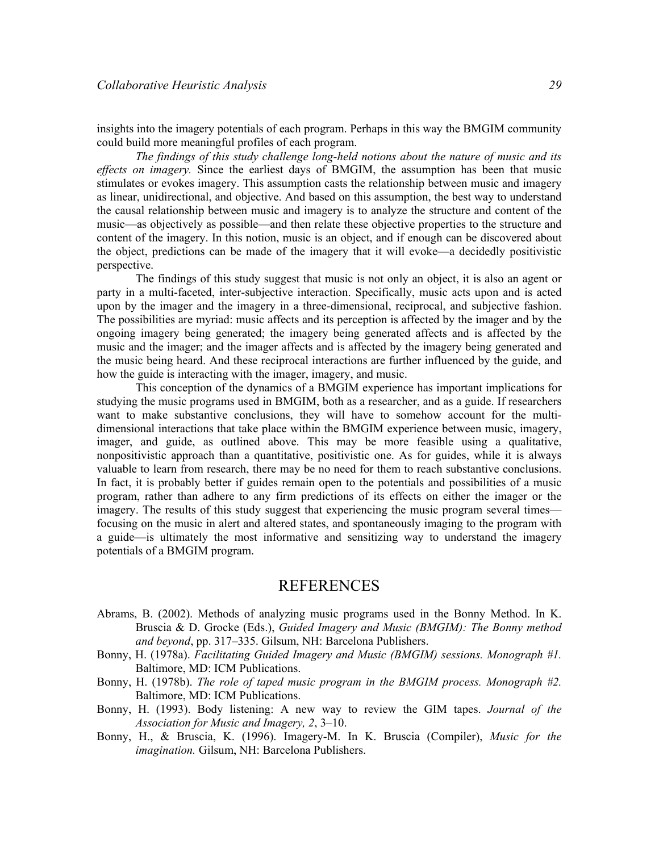insights into the imagery potentials of each program. Perhaps in this way the BMGIM community could build more meaningful profiles of each program.

The findings of this study challenge long-held notions about the nature of music and its effects on imagery. Since the earliest days of BMGIM, the assumption has been that music stimulates or evokes imagery. This assumption casts the relationship between music and imagery as linear, unidirectional, and objective. And based on this assumption, the best way to understand the causal relationship between music and imagery is to analyze the structure and content of the music—as objectively as possible—and then relate these objective properties to the structure and content of the imagery. In this notion, music is an object, and if enough can be discovered about the object, predictions can be made of the imagery that it will evoke—a decidedly positivistic perspective.

 The findings of this study suggest that music is not only an object, it is also an agent or party in a multi-faceted, inter-subjective interaction. Specifically, music acts upon and is acted upon by the imager and the imagery in a three-dimensional, reciprocal, and subjective fashion. The possibilities are myriad: music affects and its perception is affected by the imager and by the ongoing imagery being generated; the imagery being generated affects and is affected by the music and the imager; and the imager affects and is affected by the imagery being generated and the music being heard. And these reciprocal interactions are further influenced by the guide, and how the guide is interacting with the imager, imagery, and music.

 This conception of the dynamics of a BMGIM experience has important implications for studying the music programs used in BMGIM, both as a researcher, and as a guide. If researchers want to make substantive conclusions, they will have to somehow account for the multidimensional interactions that take place within the BMGIM experience between music, imagery, imager, and guide, as outlined above. This may be more feasible using a qualitative, nonpositivistic approach than a quantitative, positivistic one. As for guides, while it is always valuable to learn from research, there may be no need for them to reach substantive conclusions. In fact, it is probably better if guides remain open to the potentials and possibilities of a music program, rather than adhere to any firm predictions of its effects on either the imager or the imagery. The results of this study suggest that experiencing the music program several times focusing on the music in alert and altered states, and spontaneously imaging to the program with a guide—is ultimately the most informative and sensitizing way to understand the imagery potentials of a BMGIM program.

## REFERENCES

- Abrams, B. (2002). Methods of analyzing music programs used in the Bonny Method. In K. Bruscia & D. Grocke (Eds.), Guided Imagery and Music (BMGIM): The Bonny method and beyond, pp. 317–335. Gilsum, NH: Barcelona Publishers.
- Bonny, H. (1978a). Facilitating Guided Imagery and Music (BMGIM) sessions. Monograph #1. Baltimore, MD: ICM Publications.
- Bonny, H. (1978b). The role of taped music program in the BMGIM process. Monograph #2. Baltimore, MD: ICM Publications.
- Bonny, H. (1993). Body listening: A new way to review the GIM tapes. Journal of the Association for Music and Imagery, 2, 3–10.
- Bonny, H., & Bruscia, K. (1996). Imagery-M. In K. Bruscia (Compiler), Music for the imagination. Gilsum, NH: Barcelona Publishers.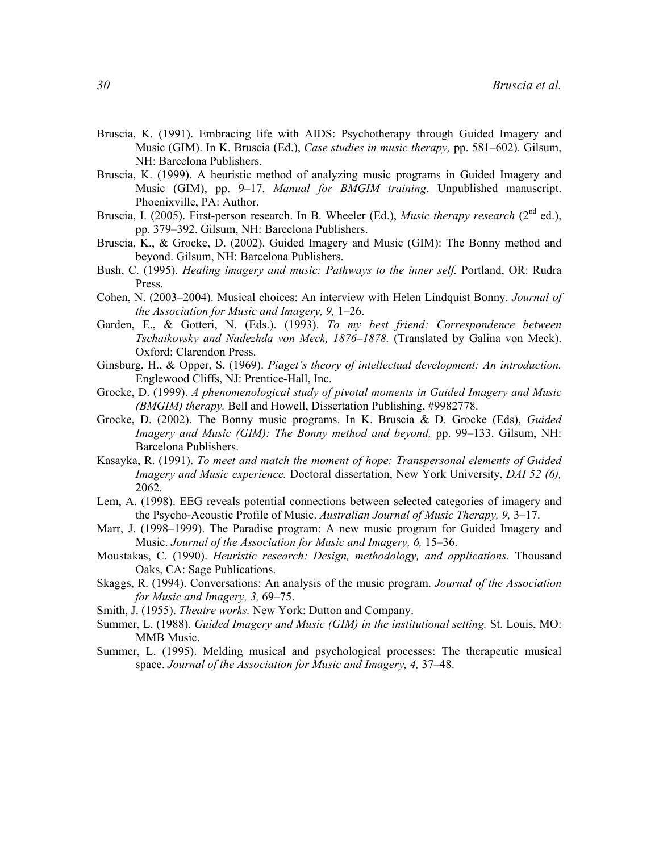- Bruscia, K. (1991). Embracing life with AIDS: Psychotherapy through Guided Imagery and Music (GIM). In K. Bruscia (Ed.), Case studies in music therapy, pp. 581–602). Gilsum, NH: Barcelona Publishers.
- Bruscia, K. (1999). A heuristic method of analyzing music programs in Guided Imagery and Music (GIM), pp. 9–17. Manual for BMGIM training. Unpublished manuscript. Phoenixville, PA: Author.
- Bruscia, I. (2005). First-person research. In B. Wheeler (Ed.), *Music therapy research* (2<sup>nd</sup> ed.), pp. 379–392. Gilsum, NH: Barcelona Publishers.
- Bruscia, K., & Grocke, D. (2002). Guided Imagery and Music (GIM): The Bonny method and beyond. Gilsum, NH: Barcelona Publishers.
- Bush, C. (1995). *Healing imagery and music: Pathways to the inner self.* Portland, OR: Rudra Press.
- Cohen, N. (2003–2004). Musical choices: An interview with Helen Lindquist Bonny. Journal of the Association for Music and Imagery, 9, 1–26.
- Garden, E., & Gotteri, N. (Eds.). (1993). To my best friend: Correspondence between Tschaikovsky and Nadezhda von Meck, 1876–1878. (Translated by Galina von Meck). Oxford: Clarendon Press.
- Ginsburg, H., & Opper, S. (1969). Piaget's theory of intellectual development: An introduction. Englewood Cliffs, NJ: Prentice-Hall, Inc.
- Grocke, D. (1999). A phenomenological study of pivotal moments in Guided Imagery and Music (BMGIM) therapy. Bell and Howell, Dissertation Publishing, #9982778.
- Grocke, D. (2002). The Bonny music programs. In K. Bruscia & D. Grocke (Eds), Guided Imagery and Music (GIM): The Bonny method and beyond, pp. 99–133. Gilsum, NH: Barcelona Publishers.
- Kasayka, R. (1991). To meet and match the moment of hope: Transpersonal elements of Guided Imagery and Music experience. Doctoral dissertation, New York University, DAI 52 (6), 2062.
- Lem, A. (1998). EEG reveals potential connections between selected categories of imagery and the Psycho-Acoustic Profile of Music. Australian Journal of Music Therapy, 9, 3–17.
- Marr, J. (1998–1999). The Paradise program: A new music program for Guided Imagery and Music. Journal of the Association for Music and Imagery, 6, 15–36.
- Moustakas, C. (1990). Heuristic research: Design, methodology, and applications. Thousand Oaks, CA: Sage Publications.
- Skaggs, R. (1994). Conversations: An analysis of the music program. Journal of the Association for Music and Imagery, 3, 69–75.
- Smith, J. (1955). Theatre works. New York: Dutton and Company.
- Summer, L. (1988). Guided Imagery and Music (GIM) in the institutional setting. St. Louis, MO: MMB Music.
- Summer, L. (1995). Melding musical and psychological processes: The therapeutic musical space. Journal of the Association for Music and Imagery, 4, 37–48.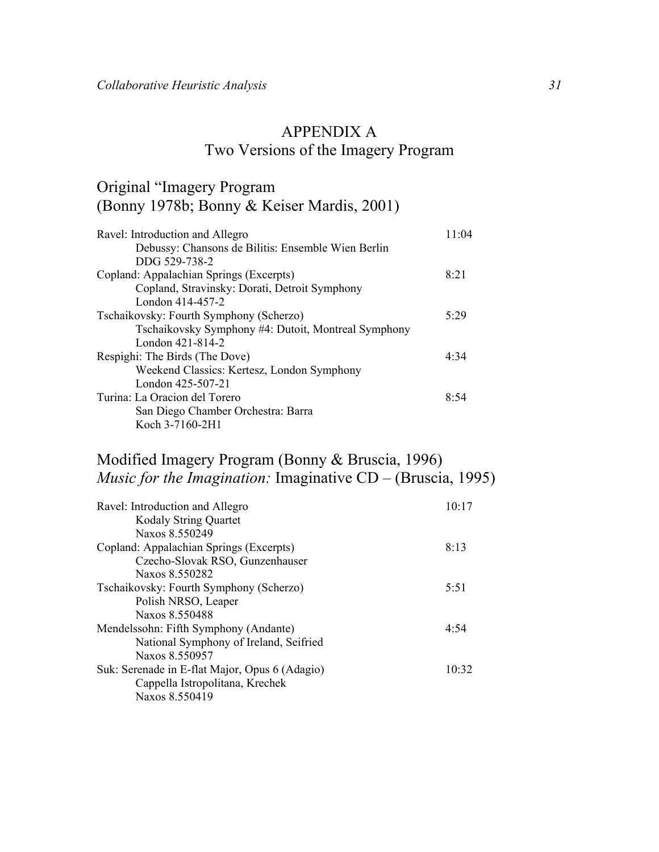# APPENDIX A Two Versions of the Imagery Program

# Original "Imagery Program (Bonny 1978b; Bonny & Keiser Mardis, 2001)

| Ravel: Introduction and Allegro                     | 11.04 |
|-----------------------------------------------------|-------|
| Debussy: Chansons de Bilitis: Ensemble Wien Berlin  |       |
| DDG 529-738-2                                       |       |
| Copland: Appalachian Springs (Excerpts)             | 8.21  |
| Copland, Stravinsky: Dorati, Detroit Symphony       |       |
| London 414-457-2                                    |       |
| Tschaikovsky: Fourth Symphony (Scherzo)             | 5.29  |
| Tschaikovsky Symphony #4: Dutoit, Montreal Symphony |       |
| London 421-814-2                                    |       |
| Respighi: The Birds (The Dove)                      | 4.34  |
| Weekend Classics: Kertesz, London Symphony          |       |
| London 425-507-21                                   |       |
| Turina: La Oracion del Torero                       | 8:54  |
| San Diego Chamber Orchestra: Barra                  |       |
| Koch 3-7160-2H1                                     |       |

# Modified Imagery Program (Bonny & Bruscia, 1996) Music for the Imagination: Imaginative CD – (Bruscia, 1995)

| Ravel: Introduction and Allegro                | 10:17 |
|------------------------------------------------|-------|
| <b>Kodaly String Quartet</b>                   |       |
| Naxos 8.550249                                 |       |
| Copland: Appalachian Springs (Excerpts)        | 8:13  |
| Czecho-Slovak RSO, Gunzenhauser                |       |
| Naxos 8 550282                                 |       |
| Tschaikovsky: Fourth Symphony (Scherzo)        | 5:51  |
| Polish NRSO, Leaper                            |       |
| Naxos 8.550488                                 |       |
| Mendelssohn: Fifth Symphony (Andante)          | 4.54  |
| National Symphony of Ireland, Seifried         |       |
| Naxos 8.550957                                 |       |
| Suk: Serenade in E-flat Major, Opus 6 (Adagio) | 10.32 |
| Cappella Istropolitana, Krechek                |       |
| Naxos 8.550419                                 |       |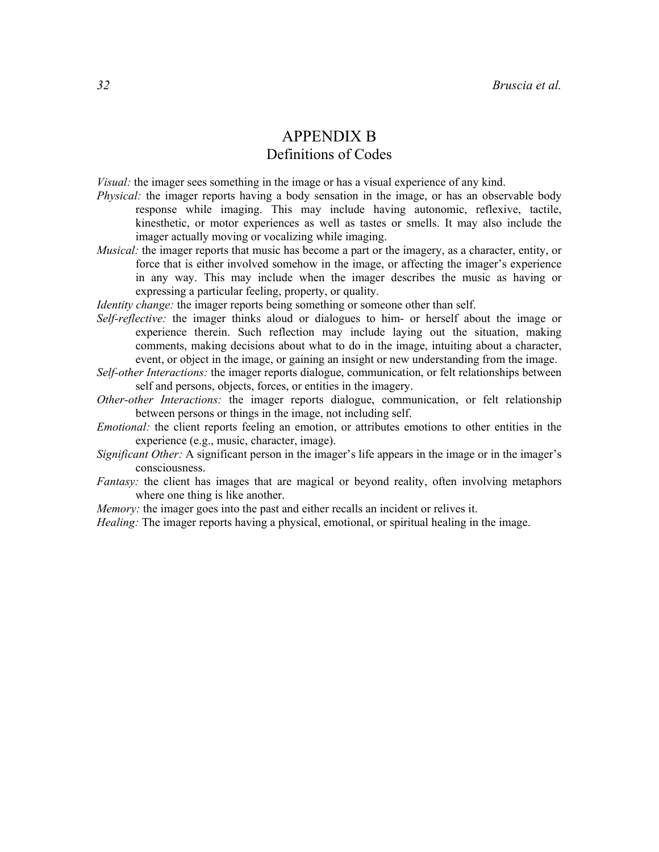## APPENDIX B Definitions of Codes

Visual: the imager sees something in the image or has a visual experience of any kind.

- Physical: the imager reports having a body sensation in the image, or has an observable body response while imaging. This may include having autonomic, reflexive, tactile, kinesthetic, or motor experiences as well as tastes or smells. It may also include the imager actually moving or vocalizing while imaging.
- *Musical:* the imager reports that music has become a part or the imagery, as a character, entity, or force that is either involved somehow in the image, or affecting the imager's experience in any way. This may include when the imager describes the music as having or expressing a particular feeling, property, or quality.

Identity change: the imager reports being something or someone other than self.

- Self-reflective: the imager thinks aloud or dialogues to him- or herself about the image or experience therein. Such reflection may include laying out the situation, making comments, making decisions about what to do in the image, intuiting about a character, event, or object in the image, or gaining an insight or new understanding from the image.
- Self-other Interactions: the imager reports dialogue, communication, or felt relationships between self and persons, objects, forces, or entities in the imagery.
- Other-other Interactions: the imager reports dialogue, communication, or felt relationship between persons or things in the image, not including self.
- Emotional: the client reports feeling an emotion, or attributes emotions to other entities in the experience (e.g., music, character, image).
- Significant Other: A significant person in the imager's life appears in the image or in the imager's consciousness.
- Fantasy: the client has images that are magical or beyond reality, often involving metaphors where one thing is like another.
- Memory: the imager goes into the past and either recalls an incident or relives it.

Healing: The imager reports having a physical, emotional, or spiritual healing in the image.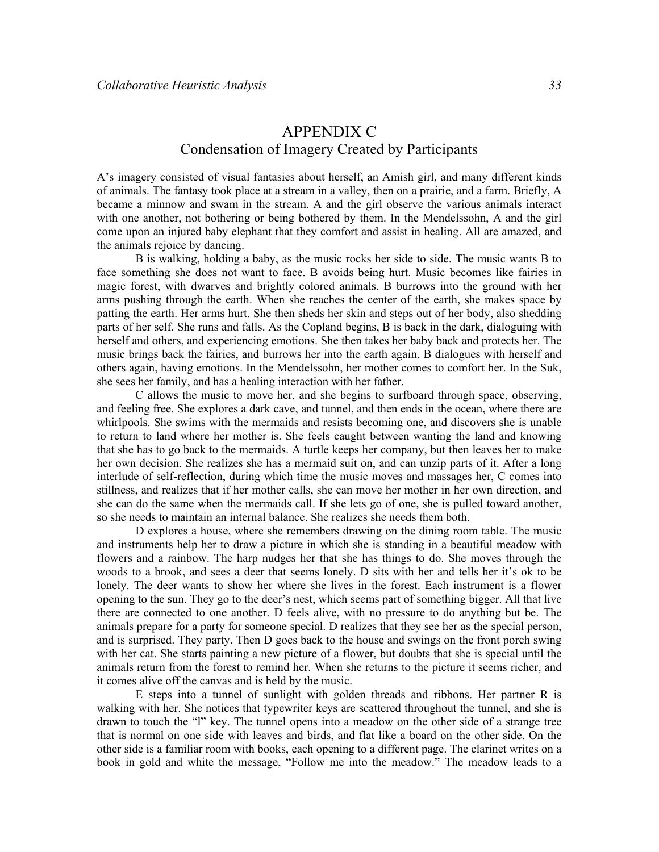## APPENDIX C Condensation of Imagery Created by Participants

A's imagery consisted of visual fantasies about herself, an Amish girl, and many different kinds of animals. The fantasy took place at a stream in a valley, then on a prairie, and a farm. Briefly, A became a minnow and swam in the stream. A and the girl observe the various animals interact with one another, not bothering or being bothered by them. In the Mendelssohn, A and the girl come upon an injured baby elephant that they comfort and assist in healing. All are amazed, and the animals rejoice by dancing.

B is walking, holding a baby, as the music rocks her side to side. The music wants B to face something she does not want to face. B avoids being hurt. Music becomes like fairies in magic forest, with dwarves and brightly colored animals. B burrows into the ground with her arms pushing through the earth. When she reaches the center of the earth, she makes space by patting the earth. Her arms hurt. She then sheds her skin and steps out of her body, also shedding parts of her self. She runs and falls. As the Copland begins, B is back in the dark, dialoguing with herself and others, and experiencing emotions. She then takes her baby back and protects her. The music brings back the fairies, and burrows her into the earth again. B dialogues with herself and others again, having emotions. In the Mendelssohn, her mother comes to comfort her. In the Suk, she sees her family, and has a healing interaction with her father.

C allows the music to move her, and she begins to surfboard through space, observing, and feeling free. She explores a dark cave, and tunnel, and then ends in the ocean, where there are whirlpools. She swims with the mermaids and resists becoming one, and discovers she is unable to return to land where her mother is. She feels caught between wanting the land and knowing that she has to go back to the mermaids. A turtle keeps her company, but then leaves her to make her own decision. She realizes she has a mermaid suit on, and can unzip parts of it. After a long interlude of self-reflection, during which time the music moves and massages her, C comes into stillness, and realizes that if her mother calls, she can move her mother in her own direction, and she can do the same when the mermaids call. If she lets go of one, she is pulled toward another, so she needs to maintain an internal balance. She realizes she needs them both.

D explores a house, where she remembers drawing on the dining room table. The music and instruments help her to draw a picture in which she is standing in a beautiful meadow with flowers and a rainbow. The harp nudges her that she has things to do. She moves through the woods to a brook, and sees a deer that seems lonely. D sits with her and tells her it's ok to be lonely. The deer wants to show her where she lives in the forest. Each instrument is a flower opening to the sun. They go to the deer's nest, which seems part of something bigger. All that live there are connected to one another. D feels alive, with no pressure to do anything but be. The animals prepare for a party for someone special. D realizes that they see her as the special person, and is surprised. They party. Then D goes back to the house and swings on the front porch swing with her cat. She starts painting a new picture of a flower, but doubts that she is special until the animals return from the forest to remind her. When she returns to the picture it seems richer, and it comes alive off the canvas and is held by the music.

E steps into a tunnel of sunlight with golden threads and ribbons. Her partner R is walking with her. She notices that typewriter keys are scattered throughout the tunnel, and she is drawn to touch the "l" key. The tunnel opens into a meadow on the other side of a strange tree that is normal on one side with leaves and birds, and flat like a board on the other side. On the other side is a familiar room with books, each opening to a different page. The clarinet writes on a book in gold and white the message, "Follow me into the meadow." The meadow leads to a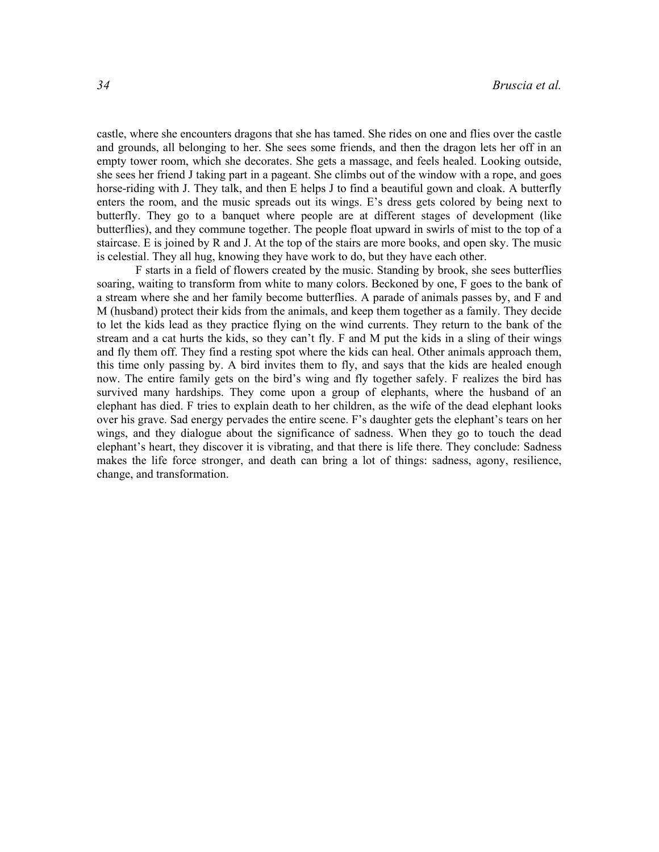castle, where she encounters dragons that she has tamed. She rides on one and flies over the castle and grounds, all belonging to her. She sees some friends, and then the dragon lets her off in an empty tower room, which she decorates. She gets a massage, and feels healed. Looking outside, she sees her friend J taking part in a pageant. She climbs out of the window with a rope, and goes horse-riding with J. They talk, and then E helps J to find a beautiful gown and cloak. A butterfly enters the room, and the music spreads out its wings. E's dress gets colored by being next to butterfly. They go to a banquet where people are at different stages of development (like butterflies), and they commune together. The people float upward in swirls of mist to the top of a staircase. E is joined by R and J. At the top of the stairs are more books, and open sky. The music is celestial. They all hug, knowing they have work to do, but they have each other.

F starts in a field of flowers created by the music. Standing by brook, she sees butterflies soaring, waiting to transform from white to many colors. Beckoned by one, F goes to the bank of a stream where she and her family become butterflies. A parade of animals passes by, and F and M (husband) protect their kids from the animals, and keep them together as a family. They decide to let the kids lead as they practice flying on the wind currents. They return to the bank of the stream and a cat hurts the kids, so they can't fly. F and M put the kids in a sling of their wings and fly them off. They find a resting spot where the kids can heal. Other animals approach them, this time only passing by. A bird invites them to fly, and says that the kids are healed enough now. The entire family gets on the bird's wing and fly together safely. F realizes the bird has survived many hardships. They come upon a group of elephants, where the husband of an elephant has died. F tries to explain death to her children, as the wife of the dead elephant looks over his grave. Sad energy pervades the entire scene. F's daughter gets the elephant's tears on her wings, and they dialogue about the significance of sadness. When they go to touch the dead elephant's heart, they discover it is vibrating, and that there is life there. They conclude: Sadness makes the life force stronger, and death can bring a lot of things: sadness, agony, resilience, change, and transformation.